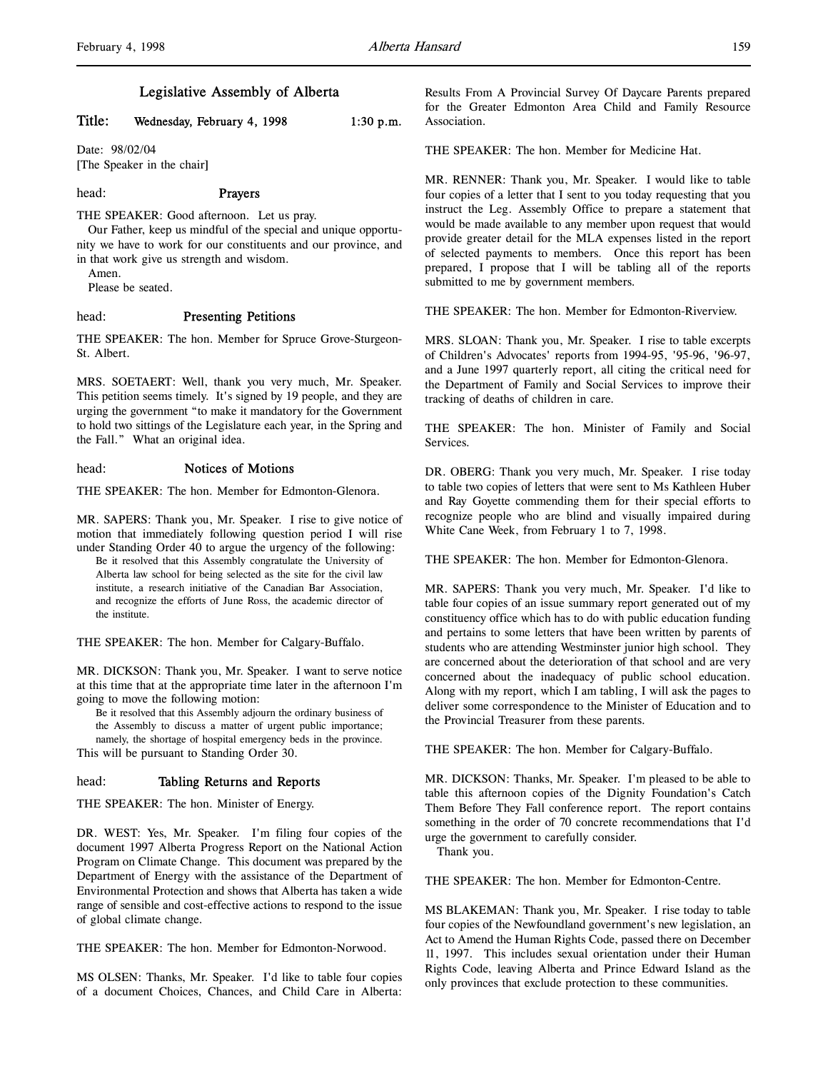# Title: Wednesday, February 4, 1998 1:30 p.m.

Date: 98/02/04 [The Speaker in the chair]

## head: Prayers

THE SPEAKER: Good afternoon. Let us pray.

Our Father, keep us mindful of the special and unique opportunity we have to work for our constituents and our province, and in that work give us strength and wisdom.

Amen.

Please be seated.

#### head: Presenting Petitions

THE SPEAKER: The hon. Member for Spruce Grove-Sturgeon-St. Albert.

MRS. SOETAERT: Well, thank you very much, Mr. Speaker. This petition seems timely. It's signed by 19 people, and they are urging the government "to make it mandatory for the Government to hold two sittings of the Legislature each year, in the Spring and the Fall." What an original idea.

# head: Notices of Motions

THE SPEAKER: The hon. Member for Edmonton-Glenora.

MR. SAPERS: Thank you, Mr. Speaker. I rise to give notice of motion that immediately following question period I will rise under Standing Order 40 to argue the urgency of the following:

Be it resolved that this Assembly congratulate the University of Alberta law school for being selected as the site for the civil law institute, a research initiative of the Canadian Bar Association, and recognize the efforts of June Ross, the academic director of the institute.

THE SPEAKER: The hon. Member for Calgary-Buffalo.

MR. DICKSON: Thank you, Mr. Speaker. I want to serve notice at this time that at the appropriate time later in the afternoon I'm going to move the following motion:

Be it resolved that this Assembly adjourn the ordinary business of the Assembly to discuss a matter of urgent public importance; namely, the shortage of hospital emergency beds in the province.

This will be pursuant to Standing Order 30.

## head: Tabling Returns and Reports

THE SPEAKER: The hon. Minister of Energy.

DR. WEST: Yes, Mr. Speaker. I'm filing four copies of the document 1997 Alberta Progress Report on the National Action Program on Climate Change. This document was prepared by the Department of Energy with the assistance of the Department of Environmental Protection and shows that Alberta has taken a wide range of sensible and cost-effective actions to respond to the issue of global climate change.

THE SPEAKER: The hon. Member for Edmonton-Norwood.

MS OLSEN: Thanks, Mr. Speaker. I'd like to table four copies of a document Choices, Chances, and Child Care in Alberta:

Results From A Provincial Survey Of Daycare Parents prepared for the Greater Edmonton Area Child and Family Resource Association.

THE SPEAKER: The hon. Member for Medicine Hat.

MR. RENNER: Thank you, Mr. Speaker. I would like to table four copies of a letter that I sent to you today requesting that you instruct the Leg. Assembly Office to prepare a statement that would be made available to any member upon request that would provide greater detail for the MLA expenses listed in the report of selected payments to members. Once this report has been prepared, I propose that I will be tabling all of the reports submitted to me by government members.

THE SPEAKER: The hon. Member for Edmonton-Riverview.

MRS. SLOAN: Thank you, Mr. Speaker. I rise to table excerpts of Children's Advocates' reports from 1994-95, '95-96, '96-97, and a June 1997 quarterly report, all citing the critical need for the Department of Family and Social Services to improve their tracking of deaths of children in care.

THE SPEAKER: The hon. Minister of Family and Social Services.

DR. OBERG: Thank you very much, Mr. Speaker. I rise today to table two copies of letters that were sent to Ms Kathleen Huber and Ray Goyette commending them for their special efforts to recognize people who are blind and visually impaired during White Cane Week, from February 1 to 7, 1998.

THE SPEAKER: The hon. Member for Edmonton-Glenora.

MR. SAPERS: Thank you very much, Mr. Speaker. I'd like to table four copies of an issue summary report generated out of my constituency office which has to do with public education funding and pertains to some letters that have been written by parents of students who are attending Westminster junior high school. They are concerned about the deterioration of that school and are very concerned about the inadequacy of public school education. Along with my report, which I am tabling, I will ask the pages to deliver some correspondence to the Minister of Education and to the Provincial Treasurer from these parents.

THE SPEAKER: The hon. Member for Calgary-Buffalo.

MR. DICKSON: Thanks, Mr. Speaker. I'm pleased to be able to table this afternoon copies of the Dignity Foundation's Catch Them Before They Fall conference report. The report contains something in the order of 70 concrete recommendations that I'd urge the government to carefully consider.

Thank you.

THE SPEAKER: The hon. Member for Edmonton-Centre.

MS BLAKEMAN: Thank you, Mr. Speaker. I rise today to table four copies of the Newfoundland government's new legislation, an Act to Amend the Human Rights Code, passed there on December 11, 1997. This includes sexual orientation under their Human Rights Code, leaving Alberta and Prince Edward Island as the only provinces that exclude protection to these communities.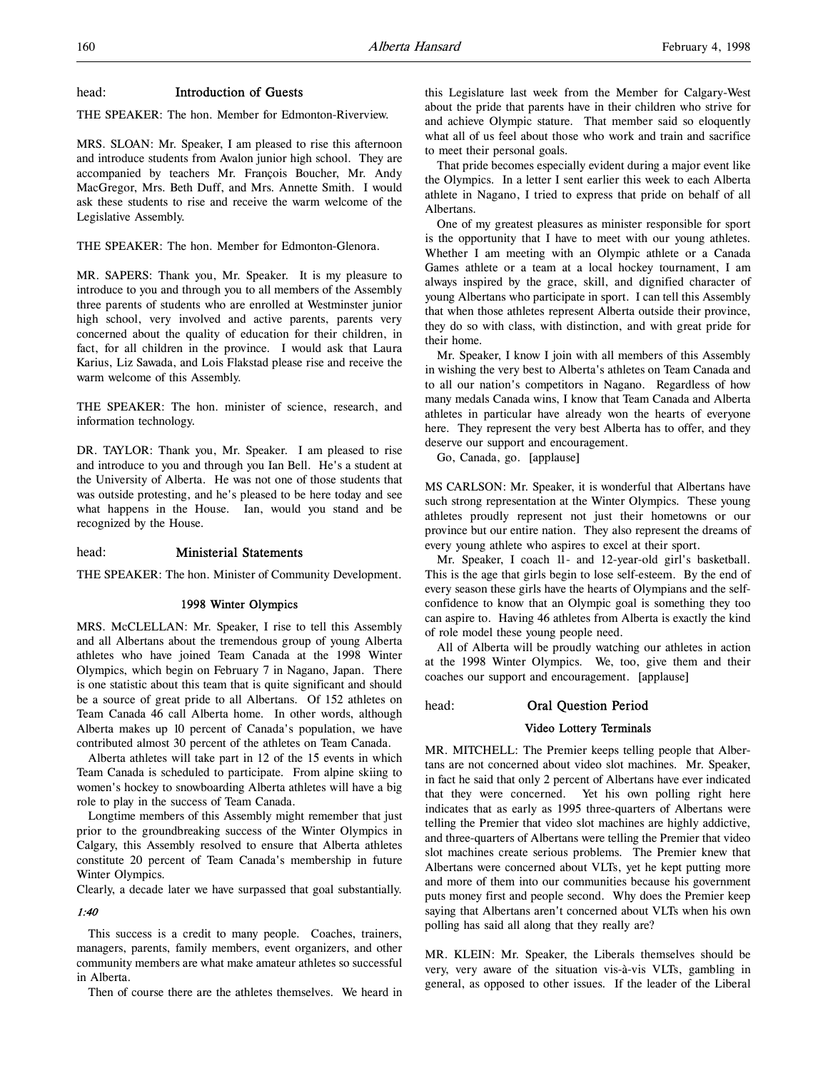## head: Introduction of Guests

THE SPEAKER: The hon. Member for Edmonton-Riverview.

MRS. SLOAN: Mr. Speaker, I am pleased to rise this afternoon and introduce students from Avalon junior high school. They are accompanied by teachers Mr. François Boucher, Mr. Andy MacGregor, Mrs. Beth Duff, and Mrs. Annette Smith. I would ask these students to rise and receive the warm welcome of the Legislative Assembly.

THE SPEAKER: The hon. Member for Edmonton-Glenora.

MR. SAPERS: Thank you, Mr. Speaker. It is my pleasure to introduce to you and through you to all members of the Assembly three parents of students who are enrolled at Westminster junior high school, very involved and active parents, parents very concerned about the quality of education for their children, in fact, for all children in the province. I would ask that Laura Karius, Liz Sawada, and Lois Flakstad please rise and receive the warm welcome of this Assembly.

THE SPEAKER: The hon. minister of science, research, and information technology.

DR. TAYLOR: Thank you, Mr. Speaker. I am pleased to rise and introduce to you and through you Ian Bell. He's a student at the University of Alberta. He was not one of those students that was outside protesting, and he's pleased to be here today and see what happens in the House. Ian, would you stand and be recognized by the House.

## head: Ministerial Statements

THE SPEAKER: The hon. Minister of Community Development.

## 1998 Winter Olympics

MRS. McCLELLAN: Mr. Speaker, I rise to tell this Assembly and all Albertans about the tremendous group of young Alberta athletes who have joined Team Canada at the 1998 Winter Olympics, which begin on February 7 in Nagano, Japan. There is one statistic about this team that is quite significant and should be a source of great pride to all Albertans. Of 152 athletes on Team Canada 46 call Alberta home. In other words, although Alberta makes up 10 percent of Canada's population, we have contributed almost 30 percent of the athletes on Team Canada.

Alberta athletes will take part in 12 of the 15 events in which Team Canada is scheduled to participate. From alpine skiing to women's hockey to snowboarding Alberta athletes will have a big role to play in the success of Team Canada.

Longtime members of this Assembly might remember that just prior to the groundbreaking success of the Winter Olympics in Calgary, this Assembly resolved to ensure that Alberta athletes constitute 20 percent of Team Canada's membership in future Winter Olympics.

Clearly, a decade later we have surpassed that goal substantially.

# 1:40

This success is a credit to many people. Coaches, trainers, managers, parents, family members, event organizers, and other community members are what make amateur athletes so successful in Alberta.

Then of course there are the athletes themselves. We heard in

this Legislature last week from the Member for Calgary-West about the pride that parents have in their children who strive for and achieve Olympic stature. That member said so eloquently what all of us feel about those who work and train and sacrifice to meet their personal goals.

That pride becomes especially evident during a major event like the Olympics. In a letter I sent earlier this week to each Alberta athlete in Nagano, I tried to express that pride on behalf of all Albertans.

One of my greatest pleasures as minister responsible for sport is the opportunity that I have to meet with our young athletes. Whether I am meeting with an Olympic athlete or a Canada Games athlete or a team at a local hockey tournament, I am always inspired by the grace, skill, and dignified character of young Albertans who participate in sport. I can tell this Assembly that when those athletes represent Alberta outside their province, they do so with class, with distinction, and with great pride for their home.

Mr. Speaker, I know I join with all members of this Assembly in wishing the very best to Alberta's athletes on Team Canada and to all our nation's competitors in Nagano. Regardless of how many medals Canada wins, I know that Team Canada and Alberta athletes in particular have already won the hearts of everyone here. They represent the very best Alberta has to offer, and they deserve our support and encouragement.

Go, Canada, go. [applause]

MS CARLSON: Mr. Speaker, it is wonderful that Albertans have such strong representation at the Winter Olympics. These young athletes proudly represent not just their hometowns or our province but our entire nation. They also represent the dreams of every young athlete who aspires to excel at their sport.

Mr. Speaker, I coach 11- and 12-year-old girl's basketball. This is the age that girls begin to lose self-esteem. By the end of every season these girls have the hearts of Olympians and the selfconfidence to know that an Olympic goal is something they too can aspire to. Having 46 athletes from Alberta is exactly the kind of role model these young people need.

All of Alberta will be proudly watching our athletes in action at the 1998 Winter Olympics. We, too, give them and their coaches our support and encouragement. [applause]

head: Oral Question Period

## Video Lottery Terminals

MR. MITCHELL: The Premier keeps telling people that Albertans are not concerned about video slot machines. Mr. Speaker, in fact he said that only 2 percent of Albertans have ever indicated that they were concerned. Yet his own polling right here indicates that as early as 1995 three-quarters of Albertans were telling the Premier that video slot machines are highly addictive, and three-quarters of Albertans were telling the Premier that video slot machines create serious problems. The Premier knew that Albertans were concerned about VLTs, yet he kept putting more and more of them into our communities because his government puts money first and people second. Why does the Premier keep saying that Albertans aren't concerned about VLTs when his own polling has said all along that they really are?

MR. KLEIN: Mr. Speaker, the Liberals themselves should be very, very aware of the situation vis-à-vis VLTs, gambling in general, as opposed to other issues. If the leader of the Liberal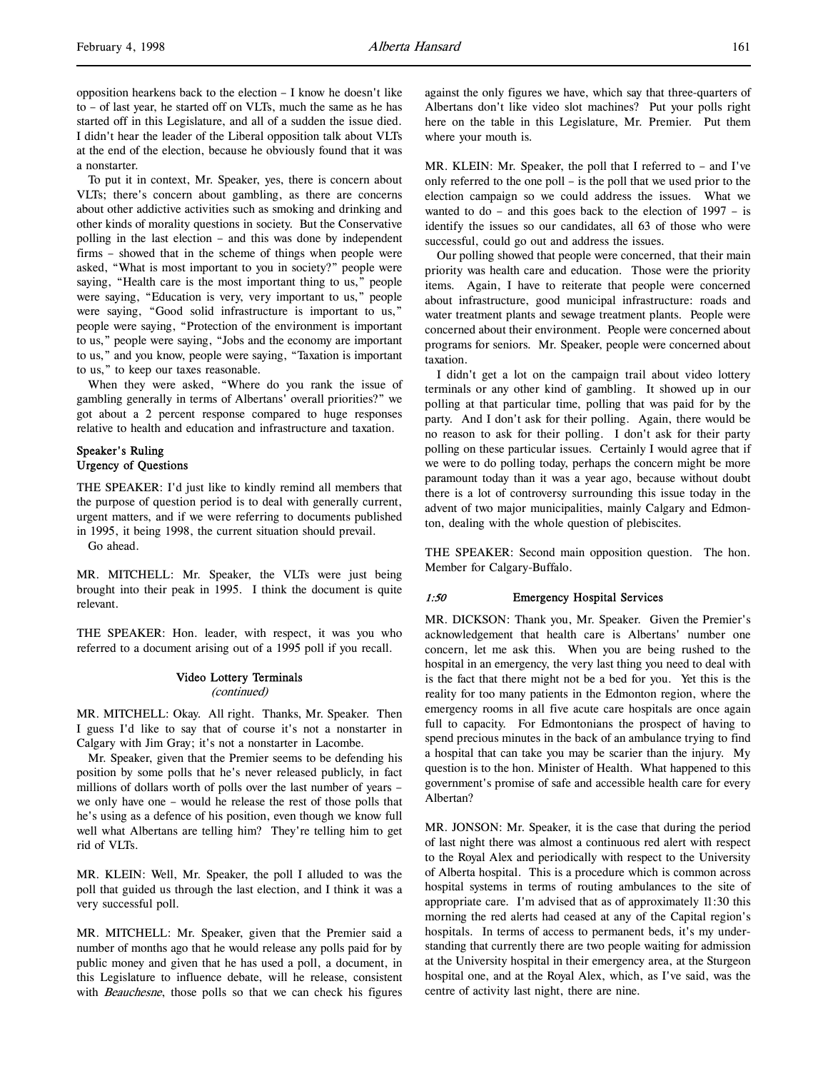To put it in context, Mr. Speaker, yes, there is concern about VLTs; there's concern about gambling, as there are concerns about other addictive activities such as smoking and drinking and other kinds of morality questions in society. But the Conservative polling in the last election – and this was done by independent firms – showed that in the scheme of things when people were asked, "What is most important to you in society?" people were saying, "Health care is the most important thing to us," people were saying, "Education is very, very important to us," people were saying, "Good solid infrastructure is important to us," people were saying, "Protection of the environment is important to us," people were saying, "Jobs and the economy are important to us," and you know, people were saying, "Taxation is important to us," to keep our taxes reasonable.

When they were asked, "Where do you rank the issue of gambling generally in terms of Albertans' overall priorities?" we got about a 2 percent response compared to huge responses relative to health and education and infrastructure and taxation.

## Speaker's Ruling Urgency of Questions

THE SPEAKER: I'd just like to kindly remind all members that the purpose of question period is to deal with generally current, urgent matters, and if we were referring to documents published in 1995, it being 1998, the current situation should prevail.

Go ahead.

MR. MITCHELL: Mr. Speaker, the VLTs were just being brought into their peak in 1995. I think the document is quite relevant.

THE SPEAKER: Hon. leader, with respect, it was you who referred to a document arising out of a 1995 poll if you recall.

# Video Lottery Terminals

(continued)

MR. MITCHELL: Okay. All right. Thanks, Mr. Speaker. Then I guess I'd like to say that of course it's not a nonstarter in Calgary with Jim Gray; it's not a nonstarter in Lacombe.

Mr. Speaker, given that the Premier seems to be defending his position by some polls that he's never released publicly, in fact millions of dollars worth of polls over the last number of years – we only have one – would he release the rest of those polls that he's using as a defence of his position, even though we know full well what Albertans are telling him? They're telling him to get rid of VLTs.

MR. KLEIN: Well, Mr. Speaker, the poll I alluded to was the poll that guided us through the last election, and I think it was a very successful poll.

MR. MITCHELL: Mr. Speaker, given that the Premier said a number of months ago that he would release any polls paid for by public money and given that he has used a poll, a document, in this Legislature to influence debate, will he release, consistent with *Beauchesne*, those polls so that we can check his figures

against the only figures we have, which say that three-quarters of Albertans don't like video slot machines? Put your polls right here on the table in this Legislature, Mr. Premier. Put them where your mouth is.

MR. KLEIN: Mr. Speaker, the poll that I referred to – and I've only referred to the one poll – is the poll that we used prior to the election campaign so we could address the issues. What we wanted to do – and this goes back to the election of  $1997 - is$ identify the issues so our candidates, all 63 of those who were successful, could go out and address the issues.

Our polling showed that people were concerned, that their main priority was health care and education. Those were the priority items. Again, I have to reiterate that people were concerned about infrastructure, good municipal infrastructure: roads and water treatment plants and sewage treatment plants. People were concerned about their environment. People were concerned about programs for seniors. Mr. Speaker, people were concerned about taxation.

I didn't get a lot on the campaign trail about video lottery terminals or any other kind of gambling. It showed up in our polling at that particular time, polling that was paid for by the party. And I don't ask for their polling. Again, there would be no reason to ask for their polling. I don't ask for their party polling on these particular issues. Certainly I would agree that if we were to do polling today, perhaps the concern might be more paramount today than it was a year ago, because without doubt there is a lot of controversy surrounding this issue today in the advent of two major municipalities, mainly Calgary and Edmonton, dealing with the whole question of plebiscites.

THE SPEAKER: Second main opposition question. The hon. Member for Calgary-Buffalo.

## 1:50 Emergency Hospital Services

MR. DICKSON: Thank you, Mr. Speaker. Given the Premier's acknowledgement that health care is Albertans' number one concern, let me ask this. When you are being rushed to the hospital in an emergency, the very last thing you need to deal with is the fact that there might not be a bed for you. Yet this is the reality for too many patients in the Edmonton region, where the emergency rooms in all five acute care hospitals are once again full to capacity. For Edmontonians the prospect of having to spend precious minutes in the back of an ambulance trying to find a hospital that can take you may be scarier than the injury. My question is to the hon. Minister of Health. What happened to this government's promise of safe and accessible health care for every Albertan?

MR. JONSON: Mr. Speaker, it is the case that during the period of last night there was almost a continuous red alert with respect to the Royal Alex and periodically with respect to the University of Alberta hospital. This is a procedure which is common across hospital systems in terms of routing ambulances to the site of appropriate care. I'm advised that as of approximately 11:30 this morning the red alerts had ceased at any of the Capital region's hospitals. In terms of access to permanent beds, it's my understanding that currently there are two people waiting for admission at the University hospital in their emergency area, at the Sturgeon hospital one, and at the Royal Alex, which, as I've said, was the centre of activity last night, there are nine.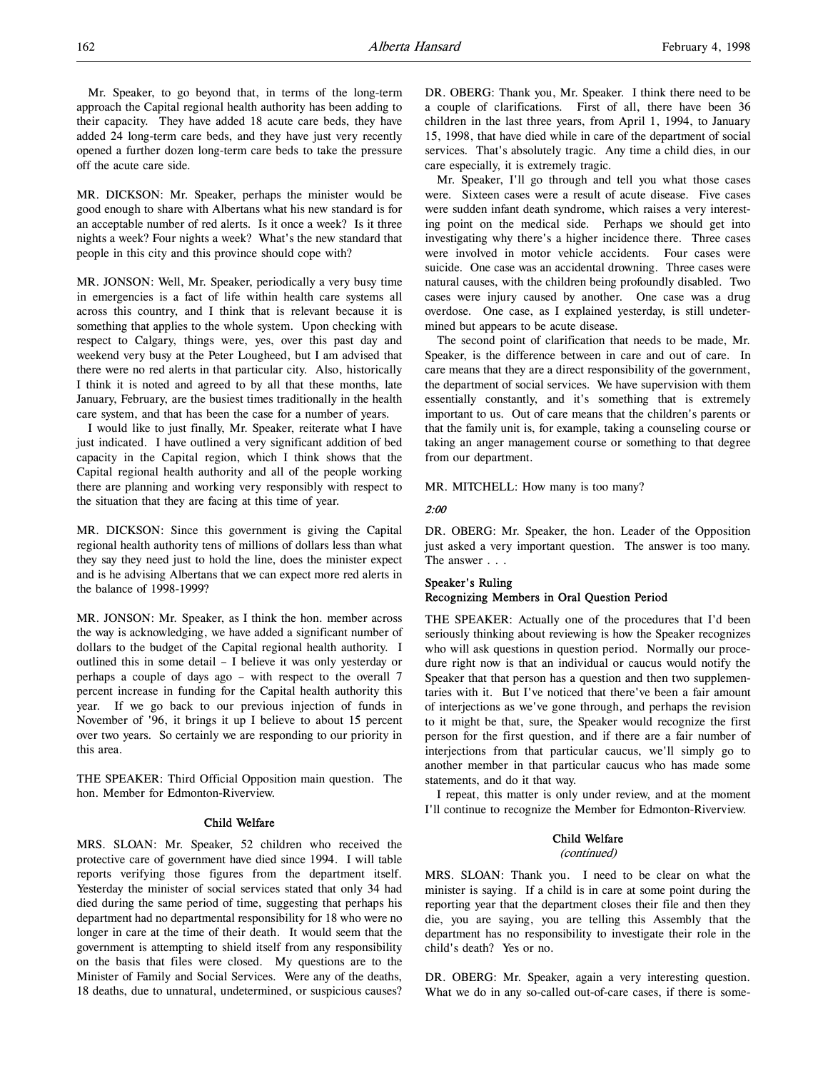Mr. Speaker, to go beyond that, in terms of the long-term approach the Capital regional health authority has been adding to their capacity. They have added 18 acute care beds, they have added 24 long-term care beds, and they have just very recently opened a further dozen long-term care beds to take the pressure off the acute care side.

MR. DICKSON: Mr. Speaker, perhaps the minister would be good enough to share with Albertans what his new standard is for an acceptable number of red alerts. Is it once a week? Is it three nights a week? Four nights a week? What's the new standard that people in this city and this province should cope with?

MR. JONSON: Well, Mr. Speaker, periodically a very busy time in emergencies is a fact of life within health care systems all across this country, and I think that is relevant because it is something that applies to the whole system. Upon checking with respect to Calgary, things were, yes, over this past day and weekend very busy at the Peter Lougheed, but I am advised that there were no red alerts in that particular city. Also, historically I think it is noted and agreed to by all that these months, late January, February, are the busiest times traditionally in the health care system, and that has been the case for a number of years.

I would like to just finally, Mr. Speaker, reiterate what I have just indicated. I have outlined a very significant addition of bed capacity in the Capital region, which I think shows that the Capital regional health authority and all of the people working there are planning and working very responsibly with respect to the situation that they are facing at this time of year.

MR. DICKSON: Since this government is giving the Capital regional health authority tens of millions of dollars less than what they say they need just to hold the line, does the minister expect and is he advising Albertans that we can expect more red alerts in the balance of 1998-1999?

MR. JONSON: Mr. Speaker, as I think the hon. member across the way is acknowledging, we have added a significant number of dollars to the budget of the Capital regional health authority. I outlined this in some detail – I believe it was only yesterday or perhaps a couple of days ago – with respect to the overall 7 percent increase in funding for the Capital health authority this year. If we go back to our previous injection of funds in November of '96, it brings it up I believe to about 15 percent over two years. So certainly we are responding to our priority in this area.

THE SPEAKER: Third Official Opposition main question. The hon. Member for Edmonton-Riverview.

#### Child Welfare

MRS. SLOAN: Mr. Speaker, 52 children who received the protective care of government have died since 1994. I will table reports verifying those figures from the department itself. Yesterday the minister of social services stated that only 34 had died during the same period of time, suggesting that perhaps his department had no departmental responsibility for 18 who were no longer in care at the time of their death. It would seem that the government is attempting to shield itself from any responsibility on the basis that files were closed. My questions are to the Minister of Family and Social Services. Were any of the deaths, 18 deaths, due to unnatural, undetermined, or suspicious causes?

DR. OBERG: Thank you, Mr. Speaker. I think there need to be a couple of clarifications. First of all, there have been 36 children in the last three years, from April 1, 1994, to January 15, 1998, that have died while in care of the department of social services. That's absolutely tragic. Any time a child dies, in our care especially, it is extremely tragic.

Mr. Speaker, I'll go through and tell you what those cases were. Sixteen cases were a result of acute disease. Five cases were sudden infant death syndrome, which raises a very interesting point on the medical side. Perhaps we should get into investigating why there's a higher incidence there. Three cases were involved in motor vehicle accidents. Four cases were suicide. One case was an accidental drowning. Three cases were natural causes, with the children being profoundly disabled. Two cases were injury caused by another. One case was a drug overdose. One case, as I explained yesterday, is still undetermined but appears to be acute disease.

The second point of clarification that needs to be made, Mr. Speaker, is the difference between in care and out of care. In care means that they are a direct responsibility of the government, the department of social services. We have supervision with them essentially constantly, and it's something that is extremely important to us. Out of care means that the children's parents or that the family unit is, for example, taking a counseling course or taking an anger management course or something to that degree from our department.

MR. MITCHELL: How many is too many?

#### 2:00

DR. OBERG: Mr. Speaker, the hon. Leader of the Opposition just asked a very important question. The answer is too many. The answer . . .

# Speaker's Ruling Recognizing Members in Oral Question Period

THE SPEAKER: Actually one of the procedures that I'd been seriously thinking about reviewing is how the Speaker recognizes who will ask questions in question period. Normally our procedure right now is that an individual or caucus would notify the Speaker that that person has a question and then two supplementaries with it. But I've noticed that there've been a fair amount of interjections as we've gone through, and perhaps the revision to it might be that, sure, the Speaker would recognize the first person for the first question, and if there are a fair number of interjections from that particular caucus, we'll simply go to another member in that particular caucus who has made some statements, and do it that way.

I repeat, this matter is only under review, and at the moment I'll continue to recognize the Member for Edmonton-Riverview.

#### Child Welfare

#### (continued)

MRS. SLOAN: Thank you. I need to be clear on what the minister is saying. If a child is in care at some point during the reporting year that the department closes their file and then they die, you are saying, you are telling this Assembly that the department has no responsibility to investigate their role in the child's death? Yes or no.

DR. OBERG: Mr. Speaker, again a very interesting question. What we do in any so-called out-of-care cases, if there is some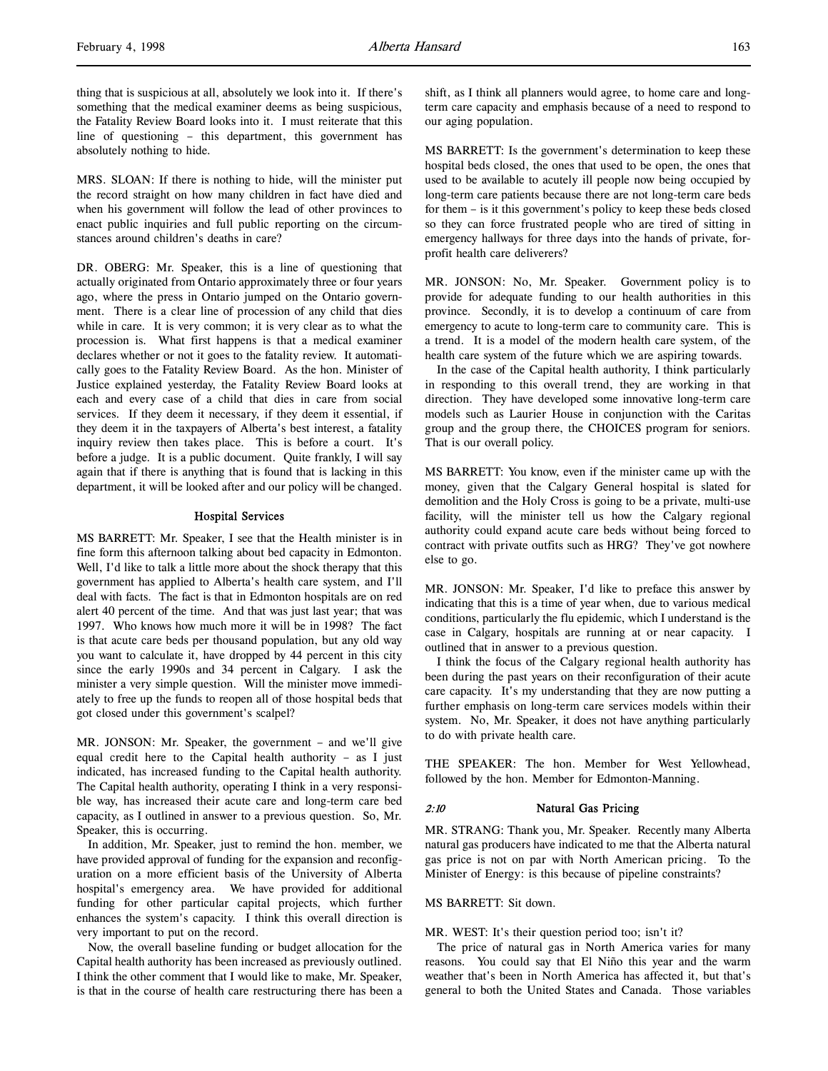thing that is suspicious at all, absolutely we look into it. If there's something that the medical examiner deems as being suspicious, the Fatality Review Board looks into it. I must reiterate that this line of questioning – this department, this government has absolutely nothing to hide.

MRS. SLOAN: If there is nothing to hide, will the minister put the record straight on how many children in fact have died and when his government will follow the lead of other provinces to enact public inquiries and full public reporting on the circumstances around children's deaths in care?

DR. OBERG: Mr. Speaker, this is a line of questioning that actually originated from Ontario approximately three or four years ago, where the press in Ontario jumped on the Ontario government. There is a clear line of procession of any child that dies while in care. It is very common; it is very clear as to what the procession is. What first happens is that a medical examiner declares whether or not it goes to the fatality review. It automatically goes to the Fatality Review Board. As the hon. Minister of Justice explained yesterday, the Fatality Review Board looks at each and every case of a child that dies in care from social services. If they deem it necessary, if they deem it essential, if they deem it in the taxpayers of Alberta's best interest, a fatality inquiry review then takes place. This is before a court. It's before a judge. It is a public document. Quite frankly, I will say again that if there is anything that is found that is lacking in this department, it will be looked after and our policy will be changed.

#### Hospital Services

MS BARRETT: Mr. Speaker, I see that the Health minister is in fine form this afternoon talking about bed capacity in Edmonton. Well, I'd like to talk a little more about the shock therapy that this government has applied to Alberta's health care system, and I'll deal with facts. The fact is that in Edmonton hospitals are on red alert 40 percent of the time. And that was just last year; that was 1997. Who knows how much more it will be in 1998? The fact is that acute care beds per thousand population, but any old way you want to calculate it, have dropped by 44 percent in this city since the early 1990s and 34 percent in Calgary. I ask the minister a very simple question. Will the minister move immediately to free up the funds to reopen all of those hospital beds that got closed under this government's scalpel?

MR. JONSON: Mr. Speaker, the government – and we'll give equal credit here to the Capital health authority – as I just indicated, has increased funding to the Capital health authority. The Capital health authority, operating I think in a very responsible way, has increased their acute care and long-term care bed capacity, as I outlined in answer to a previous question. So, Mr. Speaker, this is occurring.

In addition, Mr. Speaker, just to remind the hon. member, we have provided approval of funding for the expansion and reconfiguration on a more efficient basis of the University of Alberta hospital's emergency area. We have provided for additional funding for other particular capital projects, which further enhances the system's capacity. I think this overall direction is very important to put on the record.

Now, the overall baseline funding or budget allocation for the Capital health authority has been increased as previously outlined. I think the other comment that I would like to make, Mr. Speaker, is that in the course of health care restructuring there has been a

shift, as I think all planners would agree, to home care and longterm care capacity and emphasis because of a need to respond to our aging population.

MS BARRETT: Is the government's determination to keep these hospital beds closed, the ones that used to be open, the ones that used to be available to acutely ill people now being occupied by long-term care patients because there are not long-term care beds for them – is it this government's policy to keep these beds closed so they can force frustrated people who are tired of sitting in emergency hallways for three days into the hands of private, forprofit health care deliverers?

MR. JONSON: No, Mr. Speaker. Government policy is to provide for adequate funding to our health authorities in this province. Secondly, it is to develop a continuum of care from emergency to acute to long-term care to community care. This is a trend. It is a model of the modern health care system, of the health care system of the future which we are aspiring towards.

In the case of the Capital health authority, I think particularly in responding to this overall trend, they are working in that direction. They have developed some innovative long-term care models such as Laurier House in conjunction with the Caritas group and the group there, the CHOICES program for seniors. That is our overall policy.

MS BARRETT: You know, even if the minister came up with the money, given that the Calgary General hospital is slated for demolition and the Holy Cross is going to be a private, multi-use facility, will the minister tell us how the Calgary regional authority could expand acute care beds without being forced to contract with private outfits such as HRG? They've got nowhere else to go.

MR. JONSON: Mr. Speaker, I'd like to preface this answer by indicating that this is a time of year when, due to various medical conditions, particularly the flu epidemic, which I understand is the case in Calgary, hospitals are running at or near capacity. I outlined that in answer to a previous question.

I think the focus of the Calgary regional health authority has been during the past years on their reconfiguration of their acute care capacity. It's my understanding that they are now putting a further emphasis on long-term care services models within their system. No, Mr. Speaker, it does not have anything particularly to do with private health care.

THE SPEAKER: The hon. Member for West Yellowhead, followed by the hon. Member for Edmonton-Manning.

#### 2:10 Natural Gas Pricing

MR. STRANG: Thank you, Mr. Speaker. Recently many Alberta natural gas producers have indicated to me that the Alberta natural gas price is not on par with North American pricing. To the Minister of Energy: is this because of pipeline constraints?

#### MS BARRETT: Sit down.

#### MR. WEST: It's their question period too; isn't it?

The price of natural gas in North America varies for many reasons. You could say that El Niño this year and the warm weather that's been in North America has affected it, but that's general to both the United States and Canada. Those variables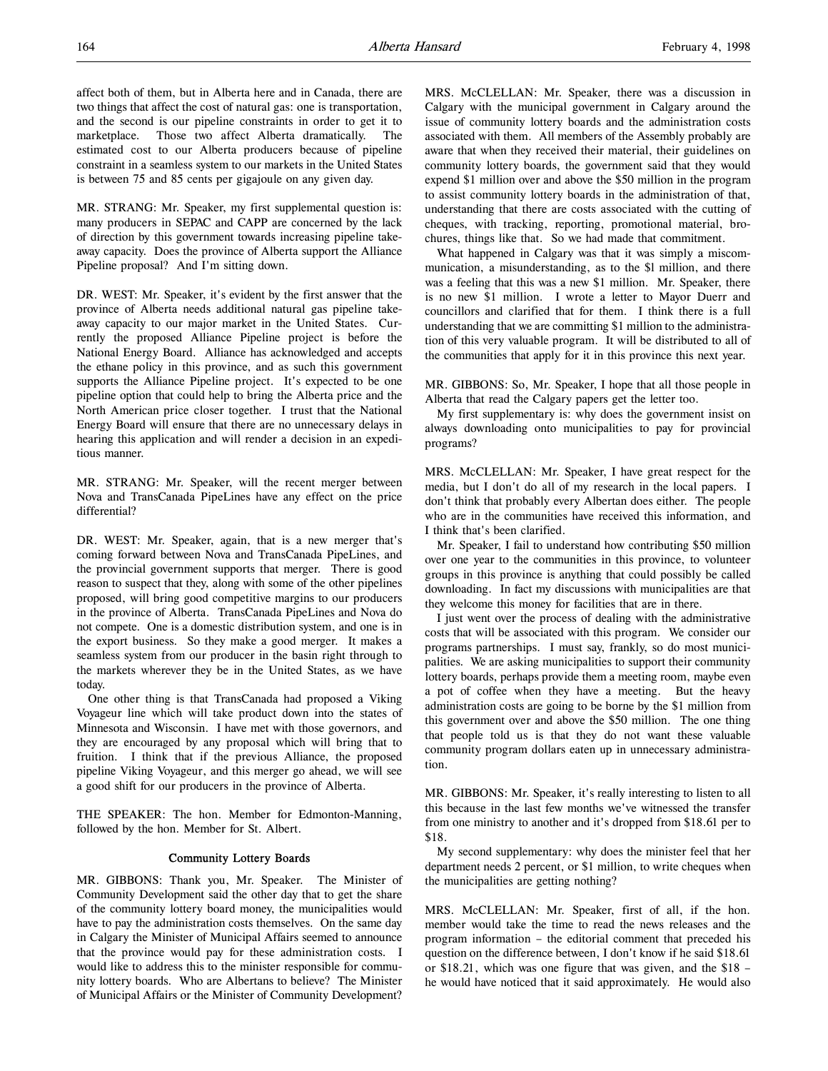affect both of them, but in Alberta here and in Canada, there are two things that affect the cost of natural gas: one is transportation, and the second is our pipeline constraints in order to get it to marketplace. Those two affect Alberta dramatically. The estimated cost to our Alberta producers because of pipeline constraint in a seamless system to our markets in the United States is between 75 and 85 cents per gigajoule on any given day.

MR. STRANG: Mr. Speaker, my first supplemental question is: many producers in SEPAC and CAPP are concerned by the lack of direction by this government towards increasing pipeline takeaway capacity. Does the province of Alberta support the Alliance Pipeline proposal? And I'm sitting down.

DR. WEST: Mr. Speaker, it's evident by the first answer that the province of Alberta needs additional natural gas pipeline takeaway capacity to our major market in the United States. Currently the proposed Alliance Pipeline project is before the National Energy Board. Alliance has acknowledged and accepts the ethane policy in this province, and as such this government supports the Alliance Pipeline project. It's expected to be one pipeline option that could help to bring the Alberta price and the North American price closer together. I trust that the National Energy Board will ensure that there are no unnecessary delays in hearing this application and will render a decision in an expeditious manner.

MR. STRANG: Mr. Speaker, will the recent merger between Nova and TransCanada PipeLines have any effect on the price differential?

DR. WEST: Mr. Speaker, again, that is a new merger that's coming forward between Nova and TransCanada PipeLines, and the provincial government supports that merger. There is good reason to suspect that they, along with some of the other pipelines proposed, will bring good competitive margins to our producers in the province of Alberta. TransCanada PipeLines and Nova do not compete. One is a domestic distribution system, and one is in the export business. So they make a good merger. It makes a seamless system from our producer in the basin right through to the markets wherever they be in the United States, as we have today.

One other thing is that TransCanada had proposed a Viking Voyageur line which will take product down into the states of Minnesota and Wisconsin. I have met with those governors, and they are encouraged by any proposal which will bring that to fruition. I think that if the previous Alliance, the proposed pipeline Viking Voyageur, and this merger go ahead, we will see a good shift for our producers in the province of Alberta.

THE SPEAKER: The hon. Member for Edmonton-Manning, followed by the hon. Member for St. Albert.

## Community Lottery Boards

MR. GIBBONS: Thank you, Mr. Speaker. The Minister of Community Development said the other day that to get the share of the community lottery board money, the municipalities would have to pay the administration costs themselves. On the same day in Calgary the Minister of Municipal Affairs seemed to announce that the province would pay for these administration costs. I would like to address this to the minister responsible for community lottery boards. Who are Albertans to believe? The Minister of Municipal Affairs or the Minister of Community Development?

MRS. McCLELLAN: Mr. Speaker, there was a discussion in Calgary with the municipal government in Calgary around the issue of community lottery boards and the administration costs associated with them. All members of the Assembly probably are aware that when they received their material, their guidelines on community lottery boards, the government said that they would expend \$1 million over and above the \$50 million in the program to assist community lottery boards in the administration of that, understanding that there are costs associated with the cutting of cheques, with tracking, reporting, promotional material, brochures, things like that. So we had made that commitment.

What happened in Calgary was that it was simply a miscommunication, a misunderstanding, as to the \$l million, and there was a feeling that this was a new \$1 million. Mr. Speaker, there is no new \$1 million. I wrote a letter to Mayor Duerr and councillors and clarified that for them. I think there is a full understanding that we are committing \$1 million to the administration of this very valuable program. It will be distributed to all of the communities that apply for it in this province this next year.

MR. GIBBONS: So, Mr. Speaker, I hope that all those people in Alberta that read the Calgary papers get the letter too.

My first supplementary is: why does the government insist on always downloading onto municipalities to pay for provincial programs?

MRS. McCLELLAN: Mr. Speaker, I have great respect for the media, but I don't do all of my research in the local papers. I don't think that probably every Albertan does either. The people who are in the communities have received this information, and I think that's been clarified.

Mr. Speaker, I fail to understand how contributing \$50 million over one year to the communities in this province, to volunteer groups in this province is anything that could possibly be called downloading. In fact my discussions with municipalities are that they welcome this money for facilities that are in there.

I just went over the process of dealing with the administrative costs that will be associated with this program. We consider our programs partnerships. I must say, frankly, so do most municipalities. We are asking municipalities to support their community lottery boards, perhaps provide them a meeting room, maybe even a pot of coffee when they have a meeting. But the heavy administration costs are going to be borne by the \$1 million from this government over and above the \$50 million. The one thing that people told us is that they do not want these valuable community program dollars eaten up in unnecessary administration.

MR. GIBBONS: Mr. Speaker, it's really interesting to listen to all this because in the last few months we've witnessed the transfer from one ministry to another and it's dropped from \$18.61 per to \$18.

My second supplementary: why does the minister feel that her department needs 2 percent, or \$1 million, to write cheques when the municipalities are getting nothing?

MRS. McCLELLAN: Mr. Speaker, first of all, if the hon. member would take the time to read the news releases and the program information – the editorial comment that preceded his question on the difference between, I don't know if he said \$18.61 or \$18.21, which was one figure that was given, and the \$18 – he would have noticed that it said approximately. He would also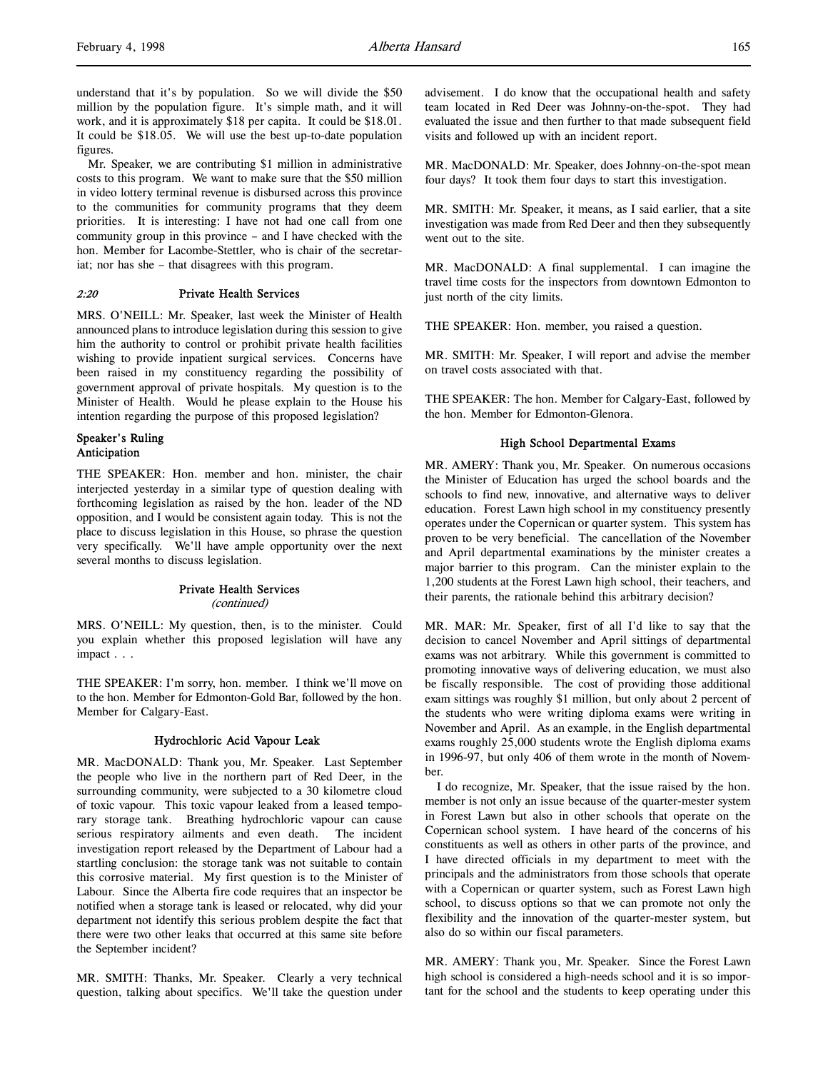understand that it's by population. So we will divide the \$50 million by the population figure. It's simple math, and it will work, and it is approximately \$18 per capita. It could be \$18.01. It could be \$18.05. We will use the best up-to-date population figures.

Mr. Speaker, we are contributing \$1 million in administrative costs to this program. We want to make sure that the \$50 million in video lottery terminal revenue is disbursed across this province to the communities for community programs that they deem priorities. It is interesting: I have not had one call from one community group in this province – and I have checked with the hon. Member for Lacombe-Stettler, who is chair of the secretariat; nor has she – that disagrees with this program.

### 2:20 Private Health Services

MRS. O'NEILL: Mr. Speaker, last week the Minister of Health announced plans to introduce legislation during this session to give him the authority to control or prohibit private health facilities wishing to provide inpatient surgical services. Concerns have been raised in my constituency regarding the possibility of government approval of private hospitals. My question is to the Minister of Health. Would he please explain to the House his intention regarding the purpose of this proposed legislation?

## Speaker's Ruling Anticipation

THE SPEAKER: Hon. member and hon. minister, the chair interjected yesterday in a similar type of question dealing with forthcoming legislation as raised by the hon. leader of the ND opposition, and I would be consistent again today. This is not the place to discuss legislation in this House, so phrase the question very specifically. We'll have ample opportunity over the next several months to discuss legislation.

## Private Health Services

(continued)

MRS. O'NEILL: My question, then, is to the minister. Could you explain whether this proposed legislation will have any impact . . .

THE SPEAKER: I'm sorry, hon. member. I think we'll move on to the hon. Member for Edmonton-Gold Bar, followed by the hon. Member for Calgary-East.

#### Hydrochloric Acid Vapour Leak

MR. MacDONALD: Thank you, Mr. Speaker. Last September the people who live in the northern part of Red Deer, in the surrounding community, were subjected to a 30 kilometre cloud of toxic vapour. This toxic vapour leaked from a leased temporary storage tank. Breathing hydrochloric vapour can cause serious respiratory ailments and even death. The incident investigation report released by the Department of Labour had a startling conclusion: the storage tank was not suitable to contain this corrosive material. My first question is to the Minister of Labour. Since the Alberta fire code requires that an inspector be notified when a storage tank is leased or relocated, why did your department not identify this serious problem despite the fact that there were two other leaks that occurred at this same site before the September incident?

MR. SMITH: Thanks, Mr. Speaker. Clearly a very technical question, talking about specifics. We'll take the question under

advisement. I do know that the occupational health and safety team located in Red Deer was Johnny-on-the-spot. They had evaluated the issue and then further to that made subsequent field visits and followed up with an incident report.

MR. MacDONALD: Mr. Speaker, does Johnny-on-the-spot mean four days? It took them four days to start this investigation.

MR. SMITH: Mr. Speaker, it means, as I said earlier, that a site investigation was made from Red Deer and then they subsequently went out to the site.

MR. MacDONALD: A final supplemental. I can imagine the travel time costs for the inspectors from downtown Edmonton to just north of the city limits.

THE SPEAKER: Hon. member, you raised a question.

MR. SMITH: Mr. Speaker, I will report and advise the member on travel costs associated with that.

THE SPEAKER: The hon. Member for Calgary-East, followed by the hon. Member for Edmonton-Glenora.

#### High School Departmental Exams

MR. AMERY: Thank you, Mr. Speaker. On numerous occasions the Minister of Education has urged the school boards and the schools to find new, innovative, and alternative ways to deliver education. Forest Lawn high school in my constituency presently operates under the Copernican or quarter system. This system has proven to be very beneficial. The cancellation of the November and April departmental examinations by the minister creates a major barrier to this program. Can the minister explain to the 1,200 students at the Forest Lawn high school, their teachers, and their parents, the rationale behind this arbitrary decision?

MR. MAR: Mr. Speaker, first of all I'd like to say that the decision to cancel November and April sittings of departmental exams was not arbitrary. While this government is committed to promoting innovative ways of delivering education, we must also be fiscally responsible. The cost of providing those additional exam sittings was roughly \$1 million, but only about 2 percent of the students who were writing diploma exams were writing in November and April. As an example, in the English departmental exams roughly 25,000 students wrote the English diploma exams in 1996-97, but only 406 of them wrote in the month of November.

I do recognize, Mr. Speaker, that the issue raised by the hon. member is not only an issue because of the quarter-mester system in Forest Lawn but also in other schools that operate on the Copernican school system. I have heard of the concerns of his constituents as well as others in other parts of the province, and I have directed officials in my department to meet with the principals and the administrators from those schools that operate with a Copernican or quarter system, such as Forest Lawn high school, to discuss options so that we can promote not only the flexibility and the innovation of the quarter-mester system, but also do so within our fiscal parameters.

MR. AMERY: Thank you, Mr. Speaker. Since the Forest Lawn high school is considered a high-needs school and it is so important for the school and the students to keep operating under this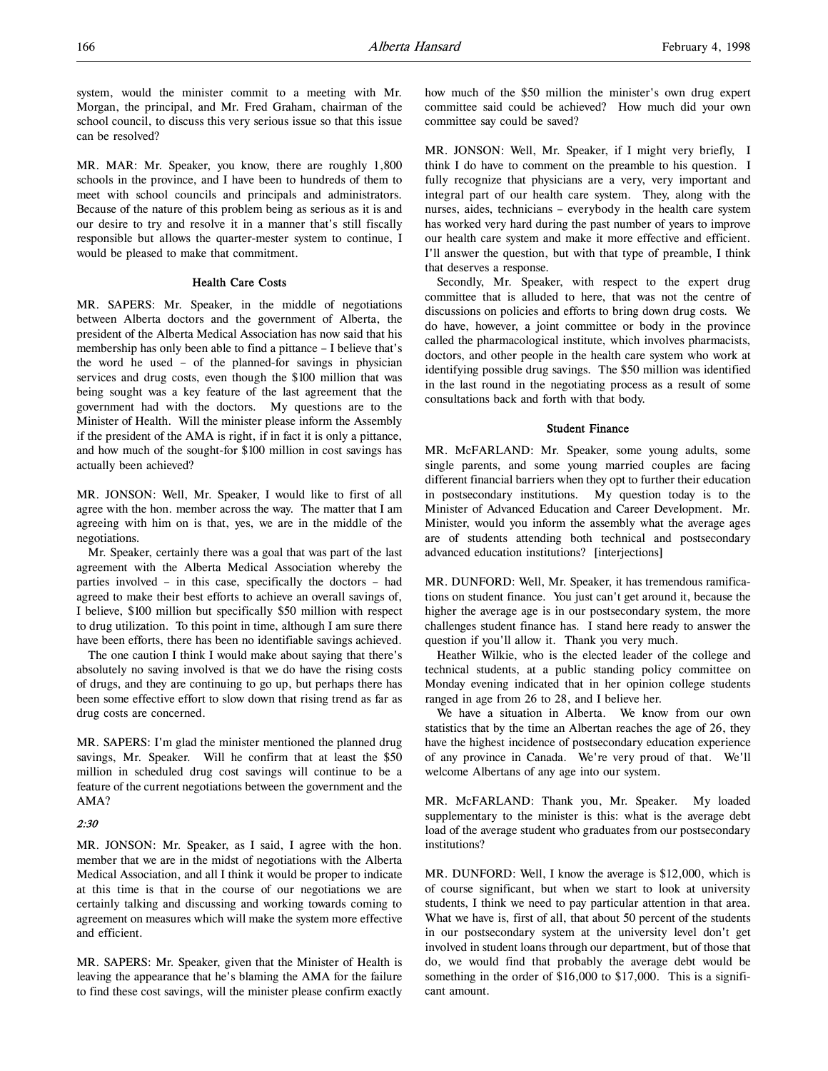system, would the minister commit to a meeting with Mr. Morgan, the principal, and Mr. Fred Graham, chairman of the school council, to discuss this very serious issue so that this issue can be resolved?

MR. MAR: Mr. Speaker, you know, there are roughly 1,800 schools in the province, and I have been to hundreds of them to meet with school councils and principals and administrators. Because of the nature of this problem being as serious as it is and our desire to try and resolve it in a manner that's still fiscally responsible but allows the quarter-mester system to continue, I would be pleased to make that commitment.

## Health Care Costs

MR. SAPERS: Mr. Speaker, in the middle of negotiations between Alberta doctors and the government of Alberta, the president of the Alberta Medical Association has now said that his membership has only been able to find a pittance – I believe that's the word he used – of the planned-for savings in physician services and drug costs, even though the \$100 million that was being sought was a key feature of the last agreement that the government had with the doctors. My questions are to the Minister of Health. Will the minister please inform the Assembly if the president of the AMA is right, if in fact it is only a pittance, and how much of the sought-for \$100 million in cost savings has actually been achieved?

MR. JONSON: Well, Mr. Speaker, I would like to first of all agree with the hon. member across the way. The matter that I am agreeing with him on is that, yes, we are in the middle of the negotiations.

Mr. Speaker, certainly there was a goal that was part of the last agreement with the Alberta Medical Association whereby the parties involved – in this case, specifically the doctors – had agreed to make their best efforts to achieve an overall savings of, I believe, \$100 million but specifically \$50 million with respect to drug utilization. To this point in time, although I am sure there have been efforts, there has been no identifiable savings achieved.

The one caution I think I would make about saying that there's absolutely no saving involved is that we do have the rising costs of drugs, and they are continuing to go up, but perhaps there has been some effective effort to slow down that rising trend as far as drug costs are concerned.

MR. SAPERS: I'm glad the minister mentioned the planned drug savings, Mr. Speaker. Will he confirm that at least the \$50 million in scheduled drug cost savings will continue to be a feature of the current negotiations between the government and the AMA?

#### 2:30

MR. JONSON: Mr. Speaker, as I said, I agree with the hon. member that we are in the midst of negotiations with the Alberta Medical Association, and all I think it would be proper to indicate at this time is that in the course of our negotiations we are certainly talking and discussing and working towards coming to agreement on measures which will make the system more effective and efficient.

MR. SAPERS: Mr. Speaker, given that the Minister of Health is leaving the appearance that he's blaming the AMA for the failure to find these cost savings, will the minister please confirm exactly how much of the \$50 million the minister's own drug expert committee said could be achieved? How much did your own committee say could be saved?

MR. JONSON: Well, Mr. Speaker, if I might very briefly, I think I do have to comment on the preamble to his question. I fully recognize that physicians are a very, very important and integral part of our health care system. They, along with the nurses, aides, technicians – everybody in the health care system has worked very hard during the past number of years to improve our health care system and make it more effective and efficient. I'll answer the question, but with that type of preamble, I think that deserves a response.

Secondly, Mr. Speaker, with respect to the expert drug committee that is alluded to here, that was not the centre of discussions on policies and efforts to bring down drug costs. We do have, however, a joint committee or body in the province called the pharmacological institute, which involves pharmacists, doctors, and other people in the health care system who work at identifying possible drug savings. The \$50 million was identified in the last round in the negotiating process as a result of some consultations back and forth with that body.

#### Student Finance

MR. McFARLAND: Mr. Speaker, some young adults, some single parents, and some young married couples are facing different financial barriers when they opt to further their education in postsecondary institutions. My question today is to the Minister of Advanced Education and Career Development. Mr. Minister, would you inform the assembly what the average ages are of students attending both technical and postsecondary advanced education institutions? [interjections]

MR. DUNFORD: Well, Mr. Speaker, it has tremendous ramifications on student finance. You just can't get around it, because the higher the average age is in our postsecondary system, the more challenges student finance has. I stand here ready to answer the question if you'll allow it. Thank you very much.

Heather Wilkie, who is the elected leader of the college and technical students, at a public standing policy committee on Monday evening indicated that in her opinion college students ranged in age from 26 to 28, and I believe her.

We have a situation in Alberta. We know from our own statistics that by the time an Albertan reaches the age of 26, they have the highest incidence of postsecondary education experience of any province in Canada. We're very proud of that. We'll welcome Albertans of any age into our system.

MR. McFARLAND: Thank you, Mr. Speaker. My loaded supplementary to the minister is this: what is the average debt load of the average student who graduates from our postsecondary institutions?

MR. DUNFORD: Well, I know the average is \$12,000, which is of course significant, but when we start to look at university students, I think we need to pay particular attention in that area. What we have is, first of all, that about 50 percent of the students in our postsecondary system at the university level don't get involved in student loans through our department, but of those that do, we would find that probably the average debt would be something in the order of \$16,000 to \$17,000. This is a significant amount.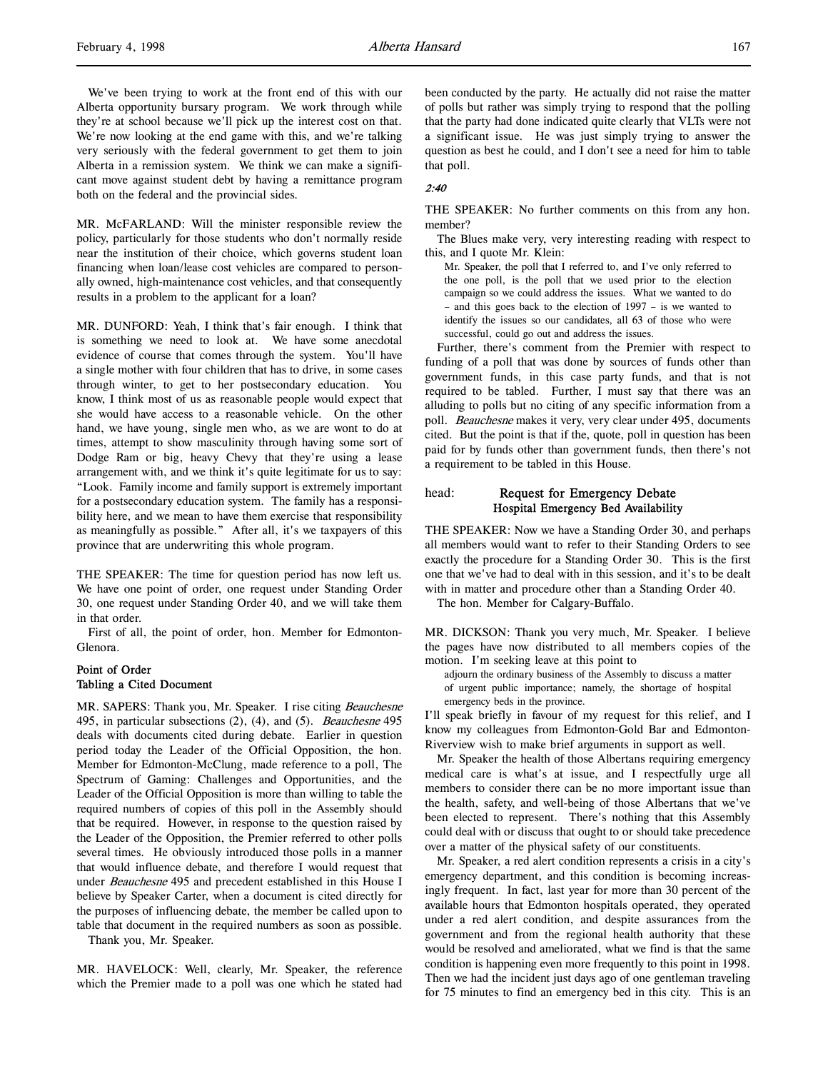We've been trying to work at the front end of this with our Alberta opportunity bursary program. We work through while they're at school because we'll pick up the interest cost on that. We're now looking at the end game with this, and we're talking very seriously with the federal government to get them to join Alberta in a remission system. We think we can make a significant move against student debt by having a remittance program both on the federal and the provincial sides.

MR. McFARLAND: Will the minister responsible review the policy, particularly for those students who don't normally reside near the institution of their choice, which governs student loan financing when loan/lease cost vehicles are compared to personally owned, high-maintenance cost vehicles, and that consequently results in a problem to the applicant for a loan?

MR. DUNFORD: Yeah, I think that's fair enough. I think that is something we need to look at. We have some anecdotal evidence of course that comes through the system. You'll have a single mother with four children that has to drive, in some cases through winter, to get to her postsecondary education. You know, I think most of us as reasonable people would expect that she would have access to a reasonable vehicle. On the other hand, we have young, single men who, as we are wont to do at times, attempt to show masculinity through having some sort of Dodge Ram or big, heavy Chevy that they're using a lease arrangement with, and we think it's quite legitimate for us to say: "Look. Family income and family support is extremely important for a postsecondary education system. The family has a responsibility here, and we mean to have them exercise that responsibility as meaningfully as possible." After all, it's we taxpayers of this province that are underwriting this whole program.

THE SPEAKER: The time for question period has now left us. We have one point of order, one request under Standing Order 30, one request under Standing Order 40, and we will take them in that order.

First of all, the point of order, hon. Member for Edmonton-Glenora.

## Point of Order Tabling a Cited Document

MR. SAPERS: Thank you, Mr. Speaker. I rise citing Beauchesne 495, in particular subsections (2), (4), and (5). Beauchesne 495 deals with documents cited during debate. Earlier in question period today the Leader of the Official Opposition, the hon. Member for Edmonton-McClung, made reference to a poll, The Spectrum of Gaming: Challenges and Opportunities, and the Leader of the Official Opposition is more than willing to table the required numbers of copies of this poll in the Assembly should that be required. However, in response to the question raised by the Leader of the Opposition, the Premier referred to other polls several times. He obviously introduced those polls in a manner that would influence debate, and therefore I would request that under Beauchesne 495 and precedent established in this House I believe by Speaker Carter, when a document is cited directly for the purposes of influencing debate, the member be called upon to table that document in the required numbers as soon as possible.

Thank you, Mr. Speaker.

MR. HAVELOCK: Well, clearly, Mr. Speaker, the reference which the Premier made to a poll was one which he stated had

been conducted by the party. He actually did not raise the matter of polls but rather was simply trying to respond that the polling that the party had done indicated quite clearly that VLTs were not a significant issue. He was just simply trying to answer the question as best he could, and I don't see a need for him to table that poll.

### 2:40

THE SPEAKER: No further comments on this from any hon. member?

The Blues make very, very interesting reading with respect to this, and I quote Mr. Klein:

Mr. Speaker, the poll that I referred to, and I've only referred to the one poll, is the poll that we used prior to the election campaign so we could address the issues. What we wanted to do – and this goes back to the election of 1997 – is we wanted to identify the issues so our candidates, all 63 of those who were successful, could go out and address the issues.

Further, there's comment from the Premier with respect to funding of a poll that was done by sources of funds other than government funds, in this case party funds, and that is not required to be tabled. Further, I must say that there was an alluding to polls but no citing of any specific information from a poll. Beauchesne makes it very, very clear under 495, documents cited. But the point is that if the, quote, poll in question has been paid for by funds other than government funds, then there's not a requirement to be tabled in this House.

## head: Request for Emergency Debate Hospital Emergency Bed Availability

THE SPEAKER: Now we have a Standing Order 30, and perhaps all members would want to refer to their Standing Orders to see exactly the procedure for a Standing Order 30. This is the first one that we've had to deal with in this session, and it's to be dealt with in matter and procedure other than a Standing Order 40.

The hon. Member for Calgary-Buffalo.

MR. DICKSON: Thank you very much, Mr. Speaker. I believe the pages have now distributed to all members copies of the motion. I'm seeking leave at this point to

adjourn the ordinary business of the Assembly to discuss a matter of urgent public importance; namely, the shortage of hospital emergency beds in the province.

I'll speak briefly in favour of my request for this relief, and I know my colleagues from Edmonton-Gold Bar and Edmonton-Riverview wish to make brief arguments in support as well.

Mr. Speaker the health of those Albertans requiring emergency medical care is what's at issue, and I respectfully urge all members to consider there can be no more important issue than the health, safety, and well-being of those Albertans that we've been elected to represent. There's nothing that this Assembly could deal with or discuss that ought to or should take precedence over a matter of the physical safety of our constituents.

Mr. Speaker, a red alert condition represents a crisis in a city's emergency department, and this condition is becoming increasingly frequent. In fact, last year for more than 30 percent of the available hours that Edmonton hospitals operated, they operated under a red alert condition, and despite assurances from the government and from the regional health authority that these would be resolved and ameliorated, what we find is that the same condition is happening even more frequently to this point in 1998. Then we had the incident just days ago of one gentleman traveling for 75 minutes to find an emergency bed in this city. This is an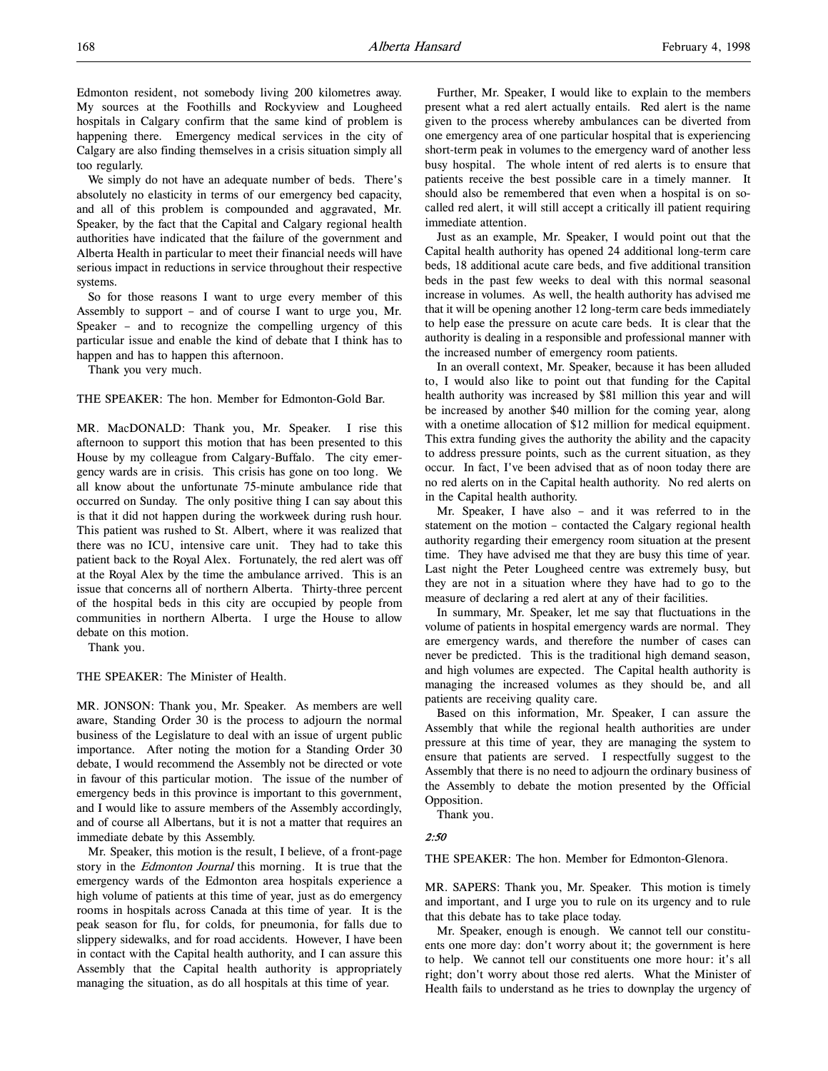We simply do not have an adequate number of beds. There's absolutely no elasticity in terms of our emergency bed capacity, and all of this problem is compounded and aggravated, Mr. Speaker, by the fact that the Capital and Calgary regional health authorities have indicated that the failure of the government and Alberta Health in particular to meet their financial needs will have serious impact in reductions in service throughout their respective systems.

So for those reasons I want to urge every member of this Assembly to support – and of course I want to urge you, Mr. Speaker – and to recognize the compelling urgency of this particular issue and enable the kind of debate that I think has to happen and has to happen this afternoon.

Thank you very much.

THE SPEAKER: The hon. Member for Edmonton-Gold Bar.

MR. MacDONALD: Thank you, Mr. Speaker. I rise this afternoon to support this motion that has been presented to this House by my colleague from Calgary-Buffalo. The city emergency wards are in crisis. This crisis has gone on too long. We all know about the unfortunate 75-minute ambulance ride that occurred on Sunday. The only positive thing I can say about this is that it did not happen during the workweek during rush hour. This patient was rushed to St. Albert, where it was realized that there was no ICU, intensive care unit. They had to take this patient back to the Royal Alex. Fortunately, the red alert was off at the Royal Alex by the time the ambulance arrived. This is an issue that concerns all of northern Alberta. Thirty-three percent of the hospital beds in this city are occupied by people from communities in northern Alberta. I urge the House to allow debate on this motion.

Thank you.

THE SPEAKER: The Minister of Health.

MR. JONSON: Thank you, Mr. Speaker. As members are well aware, Standing Order 30 is the process to adjourn the normal business of the Legislature to deal with an issue of urgent public importance. After noting the motion for a Standing Order 30 debate, I would recommend the Assembly not be directed or vote in favour of this particular motion. The issue of the number of emergency beds in this province is important to this government, and I would like to assure members of the Assembly accordingly, and of course all Albertans, but it is not a matter that requires an immediate debate by this Assembly.

Mr. Speaker, this motion is the result, I believe, of a front-page story in the *Edmonton Journal* this morning. It is true that the emergency wards of the Edmonton area hospitals experience a high volume of patients at this time of year, just as do emergency rooms in hospitals across Canada at this time of year. It is the peak season for flu, for colds, for pneumonia, for falls due to slippery sidewalks, and for road accidents. However, I have been in contact with the Capital health authority, and I can assure this Assembly that the Capital health authority is appropriately managing the situation, as do all hospitals at this time of year.

Further, Mr. Speaker, I would like to explain to the members present what a red alert actually entails. Red alert is the name given to the process whereby ambulances can be diverted from one emergency area of one particular hospital that is experiencing short-term peak in volumes to the emergency ward of another less busy hospital. The whole intent of red alerts is to ensure that patients receive the best possible care in a timely manner. It should also be remembered that even when a hospital is on socalled red alert, it will still accept a critically ill patient requiring immediate attention.

Just as an example, Mr. Speaker, I would point out that the Capital health authority has opened 24 additional long-term care beds, 18 additional acute care beds, and five additional transition beds in the past few weeks to deal with this normal seasonal increase in volumes. As well, the health authority has advised me that it will be opening another 12 long-term care beds immediately to help ease the pressure on acute care beds. It is clear that the authority is dealing in a responsible and professional manner with the increased number of emergency room patients.

In an overall context, Mr. Speaker, because it has been alluded to, I would also like to point out that funding for the Capital health authority was increased by \$81 million this year and will be increased by another \$40 million for the coming year, along with a onetime allocation of \$12 million for medical equipment. This extra funding gives the authority the ability and the capacity to address pressure points, such as the current situation, as they occur. In fact, I've been advised that as of noon today there are no red alerts on in the Capital health authority. No red alerts on in the Capital health authority.

Mr. Speaker, I have also – and it was referred to in the statement on the motion – contacted the Calgary regional health authority regarding their emergency room situation at the present time. They have advised me that they are busy this time of year. Last night the Peter Lougheed centre was extremely busy, but they are not in a situation where they have had to go to the measure of declaring a red alert at any of their facilities.

In summary, Mr. Speaker, let me say that fluctuations in the volume of patients in hospital emergency wards are normal. They are emergency wards, and therefore the number of cases can never be predicted. This is the traditional high demand season, and high volumes are expected. The Capital health authority is managing the increased volumes as they should be, and all patients are receiving quality care.

Based on this information, Mr. Speaker, I can assure the Assembly that while the regional health authorities are under pressure at this time of year, they are managing the system to ensure that patients are served. I respectfully suggest to the Assembly that there is no need to adjourn the ordinary business of the Assembly to debate the motion presented by the Official Opposition.

Thank you.

2:50

THE SPEAKER: The hon. Member for Edmonton-Glenora.

MR. SAPERS: Thank you, Mr. Speaker. This motion is timely and important, and I urge you to rule on its urgency and to rule that this debate has to take place today.

Mr. Speaker, enough is enough. We cannot tell our constituents one more day: don't worry about it; the government is here to help. We cannot tell our constituents one more hour: it's all right; don't worry about those red alerts. What the Minister of Health fails to understand as he tries to downplay the urgency of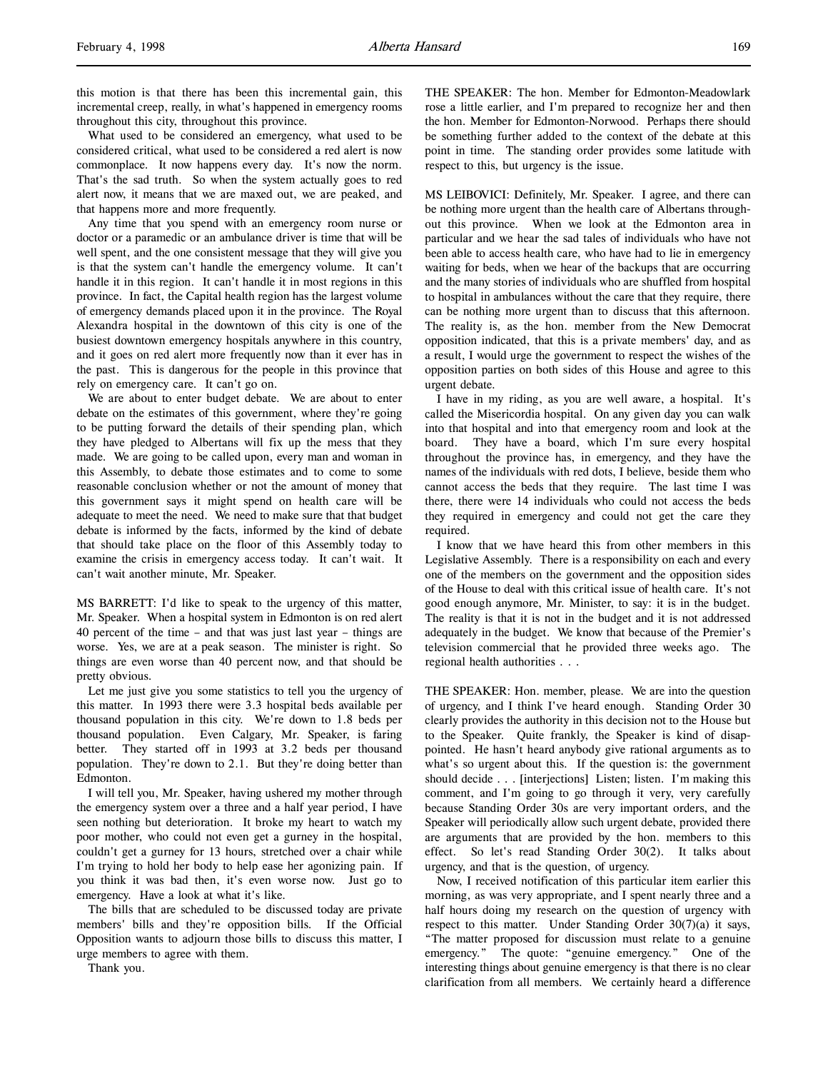this motion is that there has been this incremental gain, this incremental creep, really, in what's happened in emergency rooms throughout this city, throughout this province.

What used to be considered an emergency, what used to be considered critical, what used to be considered a red alert is now commonplace. It now happens every day. It's now the norm. That's the sad truth. So when the system actually goes to red alert now, it means that we are maxed out, we are peaked, and that happens more and more frequently.

Any time that you spend with an emergency room nurse or doctor or a paramedic or an ambulance driver is time that will be well spent, and the one consistent message that they will give you is that the system can't handle the emergency volume. It can't handle it in this region. It can't handle it in most regions in this province. In fact, the Capital health region has the largest volume of emergency demands placed upon it in the province. The Royal Alexandra hospital in the downtown of this city is one of the busiest downtown emergency hospitals anywhere in this country, and it goes on red alert more frequently now than it ever has in the past. This is dangerous for the people in this province that rely on emergency care. It can't go on.

We are about to enter budget debate. We are about to enter debate on the estimates of this government, where they're going to be putting forward the details of their spending plan, which they have pledged to Albertans will fix up the mess that they made. We are going to be called upon, every man and woman in this Assembly, to debate those estimates and to come to some reasonable conclusion whether or not the amount of money that this government says it might spend on health care will be adequate to meet the need. We need to make sure that that budget debate is informed by the facts, informed by the kind of debate that should take place on the floor of this Assembly today to examine the crisis in emergency access today. It can't wait. It can't wait another minute, Mr. Speaker.

MS BARRETT: I'd like to speak to the urgency of this matter, Mr. Speaker. When a hospital system in Edmonton is on red alert 40 percent of the time – and that was just last year – things are worse. Yes, we are at a peak season. The minister is right. So things are even worse than 40 percent now, and that should be pretty obvious.

Let me just give you some statistics to tell you the urgency of this matter. In 1993 there were 3.3 hospital beds available per thousand population in this city. We're down to 1.8 beds per thousand population. Even Calgary, Mr. Speaker, is faring better. They started off in 1993 at 3.2 beds per thousand population. They're down to 2.1. But they're doing better than Edmonton.

I will tell you, Mr. Speaker, having ushered my mother through the emergency system over a three and a half year period, I have seen nothing but deterioration. It broke my heart to watch my poor mother, who could not even get a gurney in the hospital, couldn't get a gurney for 13 hours, stretched over a chair while I'm trying to hold her body to help ease her agonizing pain. If you think it was bad then, it's even worse now. Just go to emergency. Have a look at what it's like.

The bills that are scheduled to be discussed today are private members' bills and they're opposition bills. If the Official Opposition wants to adjourn those bills to discuss this matter, I urge members to agree with them.

Thank you.

THE SPEAKER: The hon. Member for Edmonton-Meadowlark rose a little earlier, and I'm prepared to recognize her and then the hon. Member for Edmonton-Norwood. Perhaps there should be something further added to the context of the debate at this point in time. The standing order provides some latitude with respect to this, but urgency is the issue.

MS LEIBOVICI: Definitely, Mr. Speaker. I agree, and there can be nothing more urgent than the health care of Albertans throughout this province. When we look at the Edmonton area in particular and we hear the sad tales of individuals who have not been able to access health care, who have had to lie in emergency waiting for beds, when we hear of the backups that are occurring and the many stories of individuals who are shuffled from hospital to hospital in ambulances without the care that they require, there can be nothing more urgent than to discuss that this afternoon. The reality is, as the hon. member from the New Democrat opposition indicated, that this is a private members' day, and as a result, I would urge the government to respect the wishes of the opposition parties on both sides of this House and agree to this urgent debate.

I have in my riding, as you are well aware, a hospital. It's called the Misericordia hospital. On any given day you can walk into that hospital and into that emergency room and look at the board. They have a board, which I'm sure every hospital throughout the province has, in emergency, and they have the names of the individuals with red dots, I believe, beside them who cannot access the beds that they require. The last time I was there, there were 14 individuals who could not access the beds they required in emergency and could not get the care they required.

I know that we have heard this from other members in this Legislative Assembly. There is a responsibility on each and every one of the members on the government and the opposition sides of the House to deal with this critical issue of health care. It's not good enough anymore, Mr. Minister, to say: it is in the budget. The reality is that it is not in the budget and it is not addressed adequately in the budget. We know that because of the Premier's television commercial that he provided three weeks ago. The regional health authorities . . .

THE SPEAKER: Hon. member, please. We are into the question of urgency, and I think I've heard enough. Standing Order 30 clearly provides the authority in this decision not to the House but to the Speaker. Quite frankly, the Speaker is kind of disappointed. He hasn't heard anybody give rational arguments as to what's so urgent about this. If the question is: the government should decide . . . [interjections] Listen; listen. I'm making this comment, and I'm going to go through it very, very carefully because Standing Order 30s are very important orders, and the Speaker will periodically allow such urgent debate, provided there are arguments that are provided by the hon. members to this effect. So let's read Standing Order 30(2). It talks about urgency, and that is the question, of urgency.

Now, I received notification of this particular item earlier this morning, as was very appropriate, and I spent nearly three and a half hours doing my research on the question of urgency with respect to this matter. Under Standing Order 30(7)(a) it says, "The matter proposed for discussion must relate to a genuine emergency." The quote: "genuine emergency." One of the interesting things about genuine emergency is that there is no clear clarification from all members. We certainly heard a difference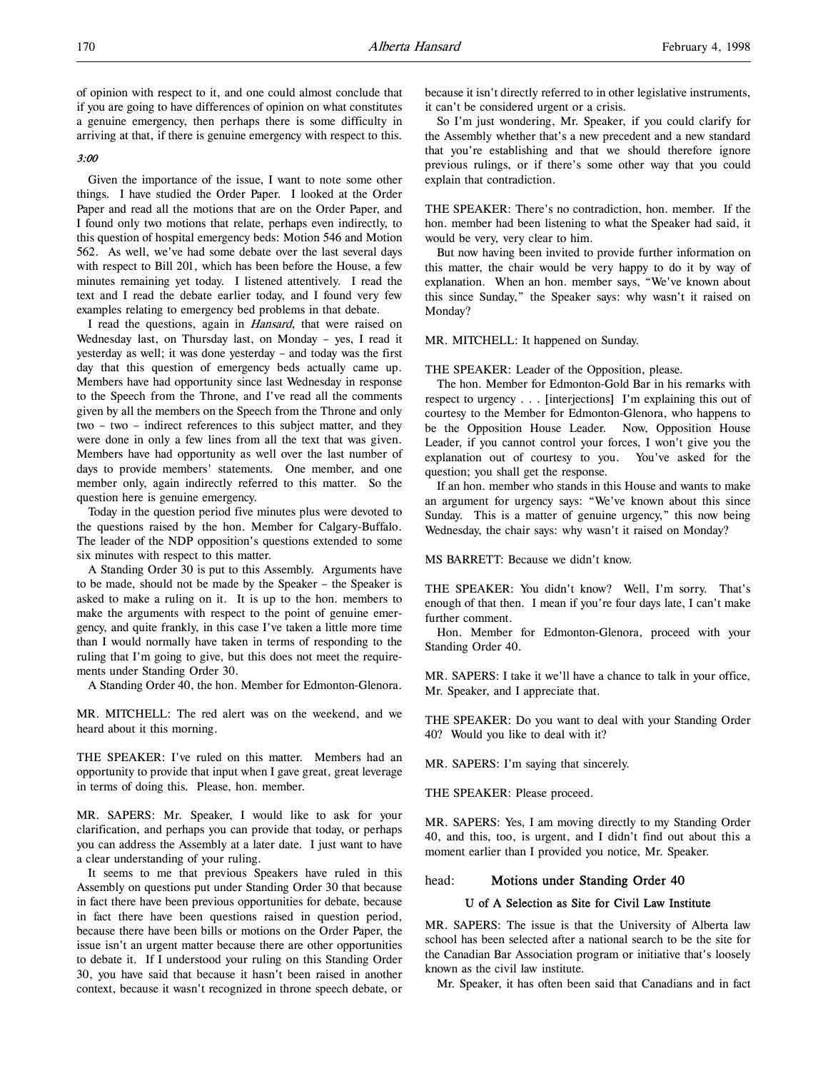of opinion with respect to it, and one could almost conclude that if you are going to have differences of opinion on what constitutes a genuine emergency, then perhaps there is some difficulty in arriving at that, if there is genuine emergency with respect to this.

#### 3:00

Given the importance of the issue, I want to note some other things. I have studied the Order Paper. I looked at the Order Paper and read all the motions that are on the Order Paper, and I found only two motions that relate, perhaps even indirectly, to this question of hospital emergency beds: Motion 546 and Motion 562. As well, we've had some debate over the last several days with respect to Bill 201, which has been before the House, a few minutes remaining yet today. I listened attentively. I read the text and I read the debate earlier today, and I found very few examples relating to emergency bed problems in that debate.

I read the questions, again in Hansard, that were raised on Wednesday last, on Thursday last, on Monday – yes, I read it yesterday as well; it was done yesterday – and today was the first day that this question of emergency beds actually came up. Members have had opportunity since last Wednesday in response to the Speech from the Throne, and I've read all the comments given by all the members on the Speech from the Throne and only two – two – indirect references to this subject matter, and they were done in only a few lines from all the text that was given. Members have had opportunity as well over the last number of days to provide members' statements. One member, and one member only, again indirectly referred to this matter. So the question here is genuine emergency.

Today in the question period five minutes plus were devoted to the questions raised by the hon. Member for Calgary-Buffalo. The leader of the NDP opposition's questions extended to some six minutes with respect to this matter.

A Standing Order 30 is put to this Assembly. Arguments have to be made, should not be made by the Speaker – the Speaker is asked to make a ruling on it. It is up to the hon. members to make the arguments with respect to the point of genuine emergency, and quite frankly, in this case I've taken a little more time than I would normally have taken in terms of responding to the ruling that I'm going to give, but this does not meet the requirements under Standing Order 30.

A Standing Order 40, the hon. Member for Edmonton-Glenora.

MR. MITCHELL: The red alert was on the weekend, and we heard about it this morning.

THE SPEAKER: I've ruled on this matter. Members had an opportunity to provide that input when I gave great, great leverage in terms of doing this. Please, hon. member.

MR. SAPERS: Mr. Speaker, I would like to ask for your clarification, and perhaps you can provide that today, or perhaps you can address the Assembly at a later date. I just want to have a clear understanding of your ruling.

It seems to me that previous Speakers have ruled in this Assembly on questions put under Standing Order 30 that because in fact there have been previous opportunities for debate, because in fact there have been questions raised in question period, because there have been bills or motions on the Order Paper, the issue isn't an urgent matter because there are other opportunities to debate it. If I understood your ruling on this Standing Order 30, you have said that because it hasn't been raised in another context, because it wasn't recognized in throne speech debate, or

because it isn't directly referred to in other legislative instruments, it can't be considered urgent or a crisis.

So I'm just wondering, Mr. Speaker, if you could clarify for the Assembly whether that's a new precedent and a new standard that you're establishing and that we should therefore ignore previous rulings, or if there's some other way that you could explain that contradiction.

THE SPEAKER: There's no contradiction, hon. member. If the hon. member had been listening to what the Speaker had said, it would be very, very clear to him.

But now having been invited to provide further information on this matter, the chair would be very happy to do it by way of explanation. When an hon. member says, "We've known about this since Sunday," the Speaker says: why wasn't it raised on Monday?

MR. MITCHELL: It happened on Sunday.

THE SPEAKER: Leader of the Opposition, please.

The hon. Member for Edmonton-Gold Bar in his remarks with respect to urgency . . . [interjections] I'm explaining this out of courtesy to the Member for Edmonton-Glenora, who happens to be the Opposition House Leader. Now, Opposition House Leader, if you cannot control your forces, I won't give you the explanation out of courtesy to you. You've asked for the question; you shall get the response.

If an hon. member who stands in this House and wants to make an argument for urgency says: "We've known about this since Sunday. This is a matter of genuine urgency," this now being Wednesday, the chair says: why wasn't it raised on Monday?

MS BARRETT: Because we didn't know.

THE SPEAKER: You didn't know? Well, I'm sorry. That's enough of that then. I mean if you're four days late, I can't make further comment.

Hon. Member for Edmonton-Glenora, proceed with your Standing Order 40.

MR. SAPERS: I take it we'll have a chance to talk in your office, Mr. Speaker, and I appreciate that.

THE SPEAKER: Do you want to deal with your Standing Order 40? Would you like to deal with it?

MR. SAPERS: I'm saying that sincerely.

THE SPEAKER: Please proceed.

MR. SAPERS: Yes, I am moving directly to my Standing Order 40, and this, too, is urgent, and I didn't find out about this a moment earlier than I provided you notice, Mr. Speaker.

#### head: Motions under Standing Order 40

#### U of A Selection as Site for Civil Law Institute

MR. SAPERS: The issue is that the University of Alberta law school has been selected after a national search to be the site for the Canadian Bar Association program or initiative that's loosely known as the civil law institute.

Mr. Speaker, it has often been said that Canadians and in fact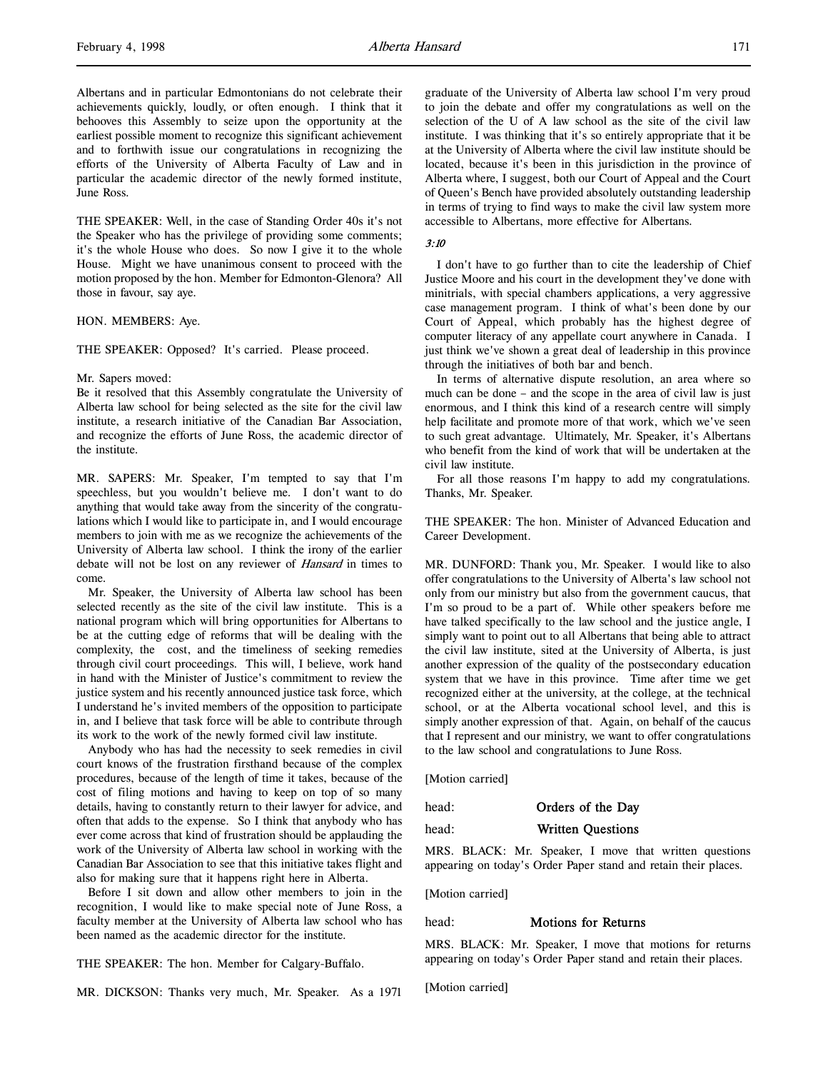THE SPEAKER: Well, in the case of Standing Order 40s it's not the Speaker who has the privilege of providing some comments; it's the whole House who does. So now I give it to the whole House. Might we have unanimous consent to proceed with the motion proposed by the hon. Member for Edmonton-Glenora? All those in favour, say aye.

#### HON. MEMBERS: Aye.

THE SPEAKER: Opposed? It's carried. Please proceed.

#### Mr. Sapers moved:

Be it resolved that this Assembly congratulate the University of Alberta law school for being selected as the site for the civil law institute, a research initiative of the Canadian Bar Association, and recognize the efforts of June Ross, the academic director of the institute.

MR. SAPERS: Mr. Speaker, I'm tempted to say that I'm speechless, but you wouldn't believe me. I don't want to do anything that would take away from the sincerity of the congratulations which I would like to participate in, and I would encourage members to join with me as we recognize the achievements of the University of Alberta law school. I think the irony of the earlier debate will not be lost on any reviewer of Hansard in times to come.

Mr. Speaker, the University of Alberta law school has been selected recently as the site of the civil law institute. This is a national program which will bring opportunities for Albertans to be at the cutting edge of reforms that will be dealing with the complexity, the cost, and the timeliness of seeking remedies through civil court proceedings. This will, I believe, work hand in hand with the Minister of Justice's commitment to review the justice system and his recently announced justice task force, which I understand he's invited members of the opposition to participate in, and I believe that task force will be able to contribute through its work to the work of the newly formed civil law institute.

Anybody who has had the necessity to seek remedies in civil court knows of the frustration firsthand because of the complex procedures, because of the length of time it takes, because of the cost of filing motions and having to keep on top of so many details, having to constantly return to their lawyer for advice, and often that adds to the expense. So I think that anybody who has ever come across that kind of frustration should be applauding the work of the University of Alberta law school in working with the Canadian Bar Association to see that this initiative takes flight and also for making sure that it happens right here in Alberta.

Before I sit down and allow other members to join in the recognition, I would like to make special note of June Ross, a faculty member at the University of Alberta law school who has been named as the academic director for the institute.

THE SPEAKER: The hon. Member for Calgary-Buffalo.

MR. DICKSON: Thanks very much, Mr. Speaker. As a 1971

graduate of the University of Alberta law school I'm very proud to join the debate and offer my congratulations as well on the selection of the U of A law school as the site of the civil law institute. I was thinking that it's so entirely appropriate that it be at the University of Alberta where the civil law institute should be located, because it's been in this jurisdiction in the province of Alberta where, I suggest, both our Court of Appeal and the Court of Queen's Bench have provided absolutely outstanding leadership in terms of trying to find ways to make the civil law system more accessible to Albertans, more effective for Albertans.

### $3 \cdot 10$

I don't have to go further than to cite the leadership of Chief Justice Moore and his court in the development they've done with minitrials, with special chambers applications, a very aggressive case management program. I think of what's been done by our Court of Appeal, which probably has the highest degree of computer literacy of any appellate court anywhere in Canada. I just think we've shown a great deal of leadership in this province through the initiatives of both bar and bench.

In terms of alternative dispute resolution, an area where so much can be done – and the scope in the area of civil law is just enormous, and I think this kind of a research centre will simply help facilitate and promote more of that work, which we've seen to such great advantage. Ultimately, Mr. Speaker, it's Albertans who benefit from the kind of work that will be undertaken at the civil law institute.

For all those reasons I'm happy to add my congratulations. Thanks, Mr. Speaker.

THE SPEAKER: The hon. Minister of Advanced Education and Career Development.

MR. DUNFORD: Thank you, Mr. Speaker. I would like to also offer congratulations to the University of Alberta's law school not only from our ministry but also from the government caucus, that I'm so proud to be a part of. While other speakers before me have talked specifically to the law school and the justice angle, I simply want to point out to all Albertans that being able to attract the civil law institute, sited at the University of Alberta, is just another expression of the quality of the postsecondary education system that we have in this province. Time after time we get recognized either at the university, at the college, at the technical school, or at the Alberta vocational school level, and this is simply another expression of that. Again, on behalf of the caucus that I represent and our ministry, we want to offer congratulations to the law school and congratulations to June Ross.

[Motion carried]

### head: **Orders of the Day**

#### head: Written Questions

MRS. BLACK: Mr. Speaker, I move that written questions appearing on today's Order Paper stand and retain their places.

[Motion carried]

## head: Motions for Returns

MRS. BLACK: Mr. Speaker, I move that motions for returns appearing on today's Order Paper stand and retain their places.

[Motion carried]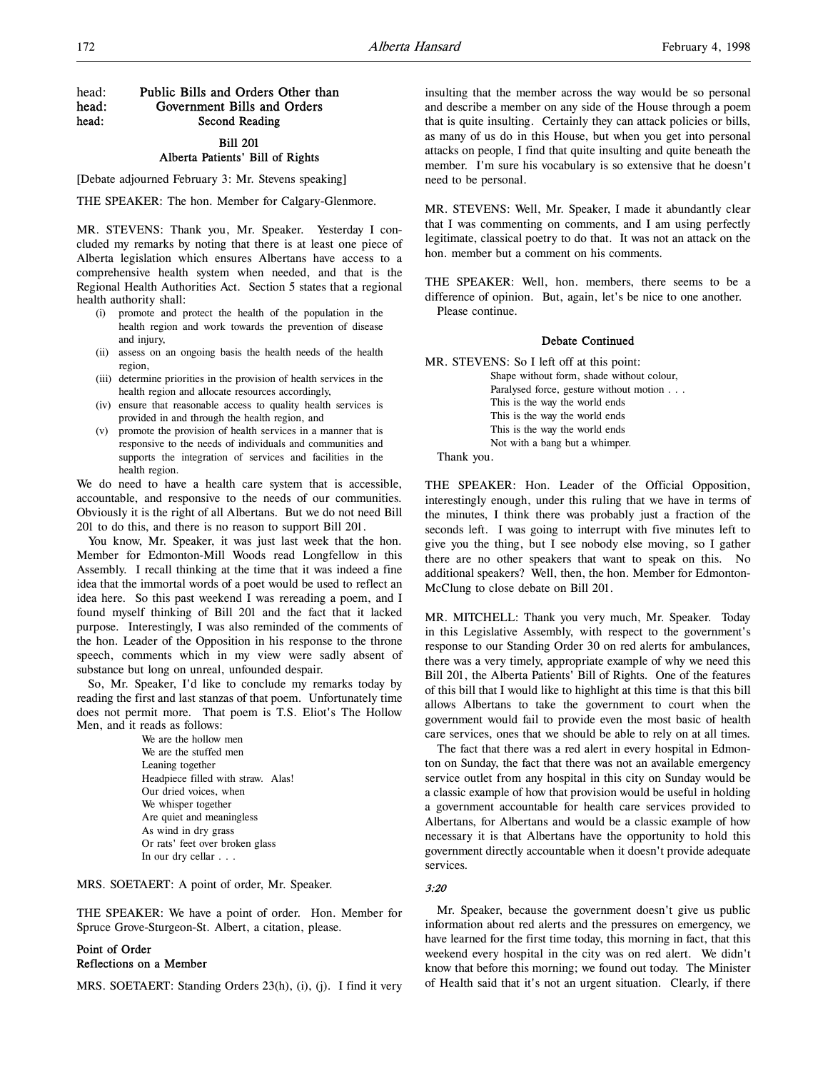# head: Public Bills and Orders Other than head: Government Bills and Orders head: Second Reading

## Bill 201 Alberta Patients' Bill of Rights

[Debate adjourned February 3: Mr. Stevens speaking]

THE SPEAKER: The hon. Member for Calgary-Glenmore.

MR. STEVENS: Thank you, Mr. Speaker. Yesterday I concluded my remarks by noting that there is at least one piece of Alberta legislation which ensures Albertans have access to a comprehensive health system when needed, and that is the Regional Health Authorities Act. Section 5 states that a regional health authority shall:

- (i) promote and protect the health of the population in the health region and work towards the prevention of disease and injury,
- (ii) assess on an ongoing basis the health needs of the health region,
- (iii) determine priorities in the provision of health services in the health region and allocate resources accordingly,
- (iv) ensure that reasonable access to quality health services is provided in and through the health region, and
- (v) promote the provision of health services in a manner that is responsive to the needs of individuals and communities and supports the integration of services and facilities in the health region.

We do need to have a health care system that is accessible, accountable, and responsive to the needs of our communities. Obviously it is the right of all Albertans. But we do not need Bill 201 to do this, and there is no reason to support Bill 201.

You know, Mr. Speaker, it was just last week that the hon. Member for Edmonton-Mill Woods read Longfellow in this Assembly. I recall thinking at the time that it was indeed a fine idea that the immortal words of a poet would be used to reflect an idea here. So this past weekend I was rereading a poem, and I found myself thinking of Bill 201 and the fact that it lacked purpose. Interestingly, I was also reminded of the comments of the hon. Leader of the Opposition in his response to the throne speech, comments which in my view were sadly absent of substance but long on unreal, unfounded despair.

So, Mr. Speaker, I'd like to conclude my remarks today by reading the first and last stanzas of that poem. Unfortunately time does not permit more. That poem is T.S. Eliot's The Hollow Men, and it reads as follows:

> We are the hollow men We are the stuffed men Leaning together Headpiece filled with straw. Alas! Our dried voices, when We whisper together Are quiet and meaningless As wind in dry grass Or rats' feet over broken glass In our dry cellar . . .

MRS. SOETAERT: A point of order, Mr. Speaker.

THE SPEAKER: We have a point of order. Hon. Member for Spruce Grove-Sturgeon-St. Albert, a citation, please.

## Point of Order Reflections on a Member

MRS. SOETAERT: Standing Orders 23(h), (i), (j). I find it very

insulting that the member across the way would be so personal and describe a member on any side of the House through a poem that is quite insulting. Certainly they can attack policies or bills, as many of us do in this House, but when you get into personal attacks on people, I find that quite insulting and quite beneath the member. I'm sure his vocabulary is so extensive that he doesn't need to be personal.

MR. STEVENS: Well, Mr. Speaker, I made it abundantly clear that I was commenting on comments, and I am using perfectly legitimate, classical poetry to do that. It was not an attack on the hon. member but a comment on his comments.

THE SPEAKER: Well, hon. members, there seems to be a difference of opinion. But, again, let's be nice to one another. Please continue.

### Debate Continued

MR. STEVENS: So I left off at this point: Shape without form, shade without colour, Paralysed force, gesture without motion . . . This is the way the world ends This is the way the world ends This is the way the world ends Not with a bang but a whimper.

Thank you.

THE SPEAKER: Hon. Leader of the Official Opposition, interestingly enough, under this ruling that we have in terms of the minutes, I think there was probably just a fraction of the seconds left. I was going to interrupt with five minutes left to give you the thing, but I see nobody else moving, so I gather there are no other speakers that want to speak on this. No additional speakers? Well, then, the hon. Member for Edmonton-McClung to close debate on Bill 201.

MR. MITCHELL: Thank you very much, Mr. Speaker. Today in this Legislative Assembly, with respect to the government's response to our Standing Order 30 on red alerts for ambulances, there was a very timely, appropriate example of why we need this Bill 201, the Alberta Patients' Bill of Rights. One of the features of this bill that I would like to highlight at this time is that this bill allows Albertans to take the government to court when the government would fail to provide even the most basic of health care services, ones that we should be able to rely on at all times.

The fact that there was a red alert in every hospital in Edmonton on Sunday, the fact that there was not an available emergency service outlet from any hospital in this city on Sunday would be a classic example of how that provision would be useful in holding a government accountable for health care services provided to Albertans, for Albertans and would be a classic example of how necessary it is that Albertans have the opportunity to hold this government directly accountable when it doesn't provide adequate services.

#### 3:20

Mr. Speaker, because the government doesn't give us public information about red alerts and the pressures on emergency, we have learned for the first time today, this morning in fact, that this weekend every hospital in the city was on red alert. We didn't know that before this morning; we found out today. The Minister of Health said that it's not an urgent situation. Clearly, if there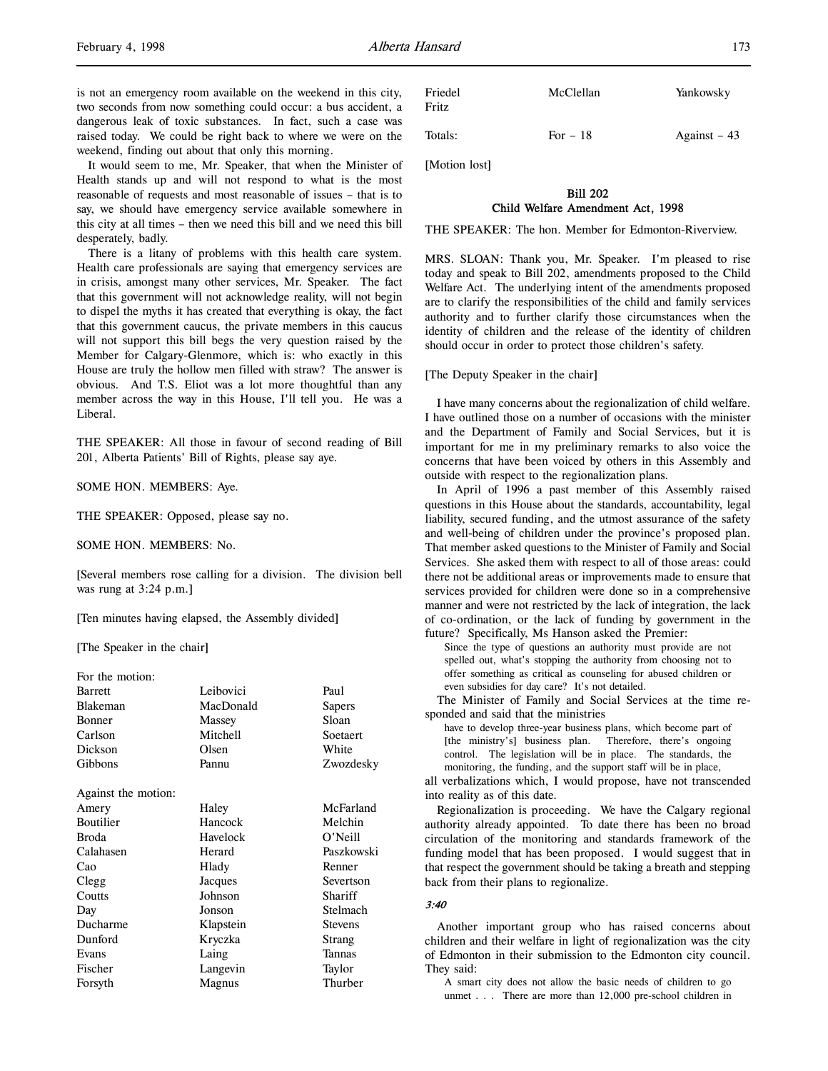It would seem to me, Mr. Speaker, that when the Minister of Health stands up and will not respond to what is the most reasonable of requests and most reasonable of issues – that is to say, we should have emergency service available somewhere in this city at all times – then we need this bill and we need this bill desperately, badly.

There is a litany of problems with this health care system. Health care professionals are saying that emergency services are in crisis, amongst many other services, Mr. Speaker. The fact that this government will not acknowledge reality, will not begin to dispel the myths it has created that everything is okay, the fact that this government caucus, the private members in this caucus will not support this bill begs the very question raised by the Member for Calgary-Glenmore, which is: who exactly in this House are truly the hollow men filled with straw? The answer is obvious. And T.S. Eliot was a lot more thoughtful than any member across the way in this House, I'll tell you. He was a Liberal.

THE SPEAKER: All those in favour of second reading of Bill 201, Alberta Patients' Bill of Rights, please say aye.

SOME HON. MEMBERS: Aye.

THE SPEAKER: Opposed, please say no.

SOME HON. MEMBERS: No.

[Several members rose calling for a division. The division bell was rung at 3:24 p.m.]

[Ten minutes having elapsed, the Assembly divided]

[The Speaker in the chair]

| For the motion:     |           |                |
|---------------------|-----------|----------------|
| <b>Barrett</b>      | Leibovici | Paul           |
| <b>Blakeman</b>     | MacDonald | Sapers         |
| <b>Bonner</b>       | Massey    | Sloan          |
| Carlson             | Mitchell  | Soetaert       |
| Dickson             | Olsen     | White          |
| Gibbons             | Pannu     | Zwozdesky      |
|                     |           |                |
| Against the motion: |           |                |
| Amery               | Haley     | McFarland      |
| <b>Boutilier</b>    | Hancock   | Melchin        |
| <b>Broda</b>        | Havelock  | O'Neill        |
| Calahasen           | Herard    | Paszkowski     |
| Cao                 | Hlady     | Renner         |
| Clegg               | Jacques   | Severtson      |
| Coutts              | Johnson   | Shariff        |
| Day                 | Jonson    | Stelmach       |
| Ducharme            | Klapstein | <b>Stevens</b> |
| Dunford             | Kryczka   | Strang         |
| Evans               | Laing     | Tannas         |
| Fischer             | Langevin  | Taylor         |
| Forsyth             | Magnus    | Thurber        |
|                     |           |                |

| Friedel<br>Fritz | McClellan | Yankowsky     |
|------------------|-----------|---------------|
| Totals:          | For $-18$ | Against $-43$ |

[Motion lost]

# Bill 202 Child Welfare Amendment Act, 1998

THE SPEAKER: The hon. Member for Edmonton-Riverview.

MRS. SLOAN: Thank you, Mr. Speaker. I'm pleased to rise today and speak to Bill 202, amendments proposed to the Child Welfare Act. The underlying intent of the amendments proposed are to clarify the responsibilities of the child and family services authority and to further clarify those circumstances when the identity of children and the release of the identity of children should occur in order to protect those children's safety.

[The Deputy Speaker in the chair]

I have many concerns about the regionalization of child welfare. I have outlined those on a number of occasions with the minister and the Department of Family and Social Services, but it is important for me in my preliminary remarks to also voice the concerns that have been voiced by others in this Assembly and outside with respect to the regionalization plans.

In April of 1996 a past member of this Assembly raised questions in this House about the standards, accountability, legal liability, secured funding, and the utmost assurance of the safety and well-being of children under the province's proposed plan. That member asked questions to the Minister of Family and Social Services. She asked them with respect to all of those areas: could there not be additional areas or improvements made to ensure that services provided for children were done so in a comprehensive manner and were not restricted by the lack of integration, the lack of co-ordination, or the lack of funding by government in the future? Specifically, Ms Hanson asked the Premier:

Since the type of questions an authority must provide are not spelled out, what's stopping the authority from choosing not to offer something as critical as counseling for abused children or even subsidies for day care? It's not detailed.

The Minister of Family and Social Services at the time responded and said that the ministries

have to develop three-year business plans, which become part of [the ministry's] business plan. Therefore, there's ongoing control. The legislation will be in place. The standards, the monitoring, the funding, and the support staff will be in place,

all verbalizations which, I would propose, have not transcended into reality as of this date.

Regionalization is proceeding. We have the Calgary regional authority already appointed. To date there has been no broad circulation of the monitoring and standards framework of the funding model that has been proposed. I would suggest that in that respect the government should be taking a breath and stepping back from their plans to regionalize.

#### 3:40

Another important group who has raised concerns about children and their welfare in light of regionalization was the city of Edmonton in their submission to the Edmonton city council. They said:

A smart city does not allow the basic needs of children to go unmet . . . There are more than 12,000 pre-school children in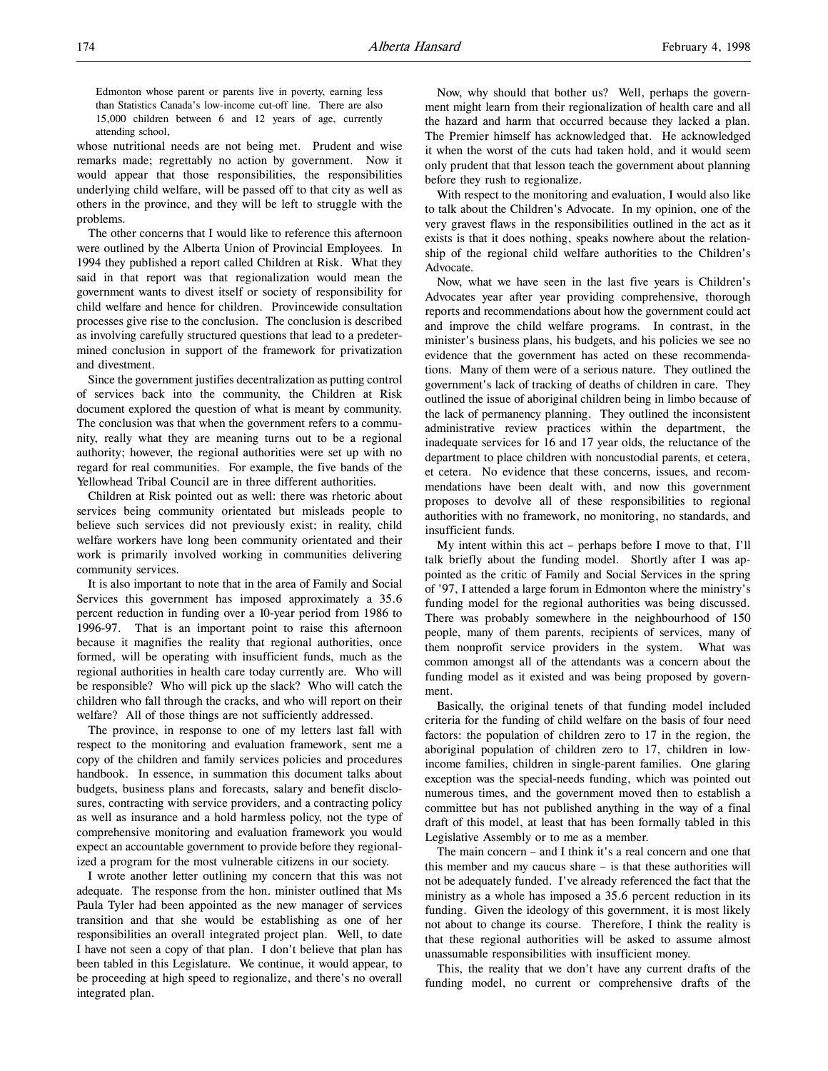whose nutritional needs are not being met. Prudent and wise remarks made; regrettably no action by government. Now it would appear that those responsibilities, the responsibilities underlying child welfare, will be passed off to that city as well as others in the province, and they will be left to struggle with the problems.

The other concerns that I would like to reference this afternoon were outlined by the Alberta Union of Provincial Employees. In 1994 they published a report called Children at Risk. What they said in that report was that regionalization would mean the government wants to divest itself or society of responsibility for child welfare and hence for children. Provincewide consultation processes give rise to the conclusion. The conclusion is described as involving carefully structured questions that lead to a predetermined conclusion in support of the framework for privatization and divestment.

Since the government justifies decentralization as putting control of services back into the community, the Children at Risk document explored the question of what is meant by community. The conclusion was that when the government refers to a community, really what they are meaning turns out to be a regional authority; however, the regional authorities were set up with no regard for real communities. For example, the five bands of the Yellowhead Tribal Council are in three different authorities.

Children at Risk pointed out as well: there was rhetoric about services being community orientated but misleads people to believe such services did not previously exist; in reality, child welfare workers have long been community orientated and their work is primarily involved working in communities delivering community services.

It is also important to note that in the area of Family and Social Services this government has imposed approximately a 35.6 percent reduction in funding over a 10-year period from 1986 to 1996-97. That is an important point to raise this afternoon because it magnifies the reality that regional authorities, once formed, will be operating with insufficient funds, much as the regional authorities in health care today currently are. Who will be responsible? Who will pick up the slack? Who will catch the children who fall through the cracks, and who will report on their welfare? All of those things are not sufficiently addressed.

The province, in response to one of my letters last fall with respect to the monitoring and evaluation framework, sent me a copy of the children and family services policies and procedures handbook. In essence, in summation this document talks about budgets, business plans and forecasts, salary and benefit disclosures, contracting with service providers, and a contracting policy as well as insurance and a hold harmless policy, not the type of comprehensive monitoring and evaluation framework you would expect an accountable government to provide before they regionalized a program for the most vulnerable citizens in our society.

I wrote another letter outlining my concern that this was not adequate. The response from the hon. minister outlined that Ms Paula Tyler had been appointed as the new manager of services transition and that she would be establishing as one of her responsibilities an overall integrated project plan. Well, to date I have not seen a copy of that plan. I don't believe that plan has been tabled in this Legislature. We continue, it would appear, to be proceeding at high speed to regionalize, and there's no overall integrated plan.

Now, why should that bother us? Well, perhaps the government might learn from their regionalization of health care and all the hazard and harm that occurred because they lacked a plan. The Premier himself has acknowledged that. He acknowledged it when the worst of the cuts had taken hold, and it would seem only prudent that that lesson teach the government about planning before they rush to regionalize.

With respect to the monitoring and evaluation, I would also like to talk about the Children's Advocate. In my opinion, one of the very gravest flaws in the responsibilities outlined in the act as it exists is that it does nothing, speaks nowhere about the relationship of the regional child welfare authorities to the Children's Advocate.

Now, what we have seen in the last five years is Children's Advocates year after year providing comprehensive, thorough reports and recommendations about how the government could act and improve the child welfare programs. In contrast, in the minister's business plans, his budgets, and his policies we see no evidence that the government has acted on these recommendations. Many of them were of a serious nature. They outlined the government's lack of tracking of deaths of children in care. They outlined the issue of aboriginal children being in limbo because of the lack of permanency planning. They outlined the inconsistent administrative review practices within the department, the inadequate services for 16 and 17 year olds, the reluctance of the department to place children with noncustodial parents, et cetera, et cetera. No evidence that these concerns, issues, and recommendations have been dealt with, and now this government proposes to devolve all of these responsibilities to regional authorities with no framework, no monitoring, no standards, and insufficient funds.

My intent within this act – perhaps before I move to that, I'll talk briefly about the funding model. Shortly after I was appointed as the critic of Family and Social Services in the spring of '97, I attended a large forum in Edmonton where the ministry's funding model for the regional authorities was being discussed. There was probably somewhere in the neighbourhood of 150 people, many of them parents, recipients of services, many of them nonprofit service providers in the system. What was common amongst all of the attendants was a concern about the funding model as it existed and was being proposed by government.

Basically, the original tenets of that funding model included criteria for the funding of child welfare on the basis of four need factors: the population of children zero to 17 in the region, the aboriginal population of children zero to 17, children in lowincome families, children in single-parent families. One glaring exception was the special-needs funding, which was pointed out numerous times, and the government moved then to establish a committee but has not published anything in the way of a final draft of this model, at least that has been formally tabled in this Legislative Assembly or to me as a member.

The main concern – and I think it's a real concern and one that this member and my caucus share – is that these authorities will not be adequately funded. I've already referenced the fact that the ministry as a whole has imposed a 35.6 percent reduction in its funding. Given the ideology of this government, it is most likely not about to change its course. Therefore, I think the reality is that these regional authorities will be asked to assume almost unassumable responsibilities with insufficient money.

This, the reality that we don't have any current drafts of the funding model, no current or comprehensive drafts of the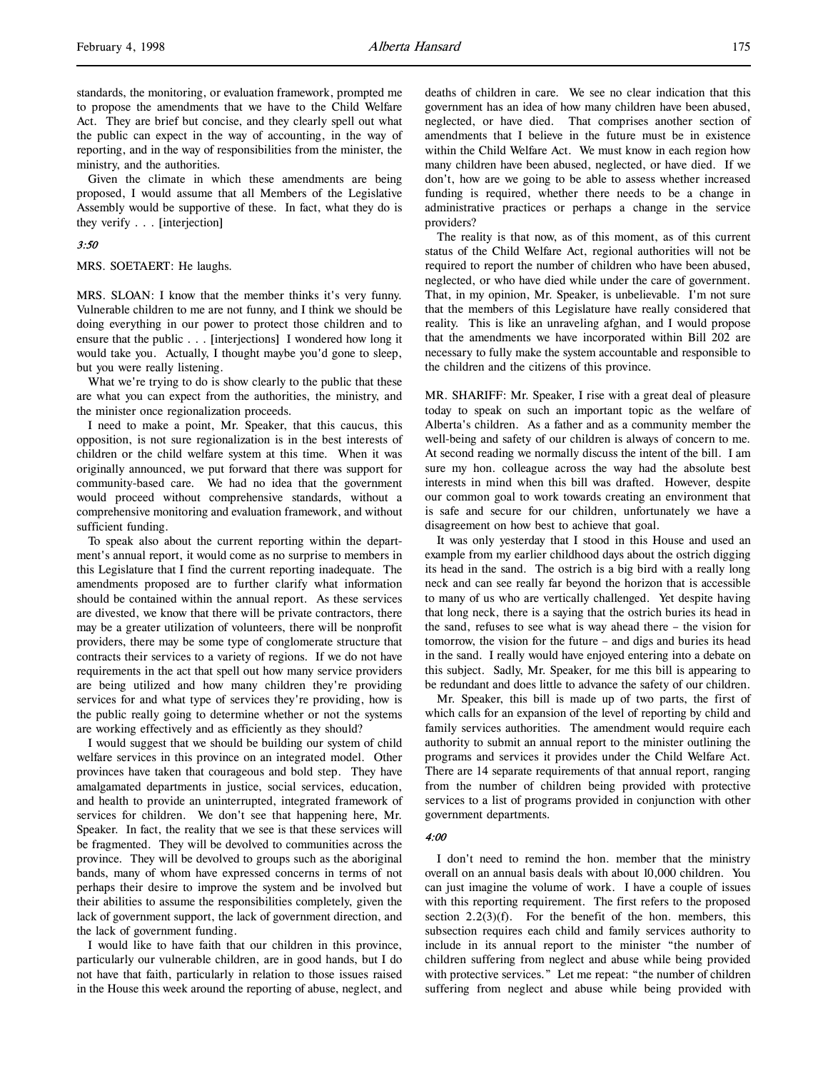standards, the monitoring, or evaluation framework, prompted me to propose the amendments that we have to the Child Welfare Act. They are brief but concise, and they clearly spell out what the public can expect in the way of accounting, in the way of reporting, and in the way of responsibilities from the minister, the ministry, and the authorities.

Given the climate in which these amendments are being proposed, I would assume that all Members of the Legislative Assembly would be supportive of these. In fact, what they do is they verify . . . [interjection]

## 3:50

MRS. SOETAERT: He laughs.

MRS. SLOAN: I know that the member thinks it's very funny. Vulnerable children to me are not funny, and I think we should be doing everything in our power to protect those children and to ensure that the public . . . [interjections] I wondered how long it would take you. Actually, I thought maybe you'd gone to sleep, but you were really listening.

What we're trying to do is show clearly to the public that these are what you can expect from the authorities, the ministry, and the minister once regionalization proceeds.

I need to make a point, Mr. Speaker, that this caucus, this opposition, is not sure regionalization is in the best interests of children or the child welfare system at this time. When it was originally announced, we put forward that there was support for community-based care. We had no idea that the government would proceed without comprehensive standards, without a comprehensive monitoring and evaluation framework, and without sufficient funding.

To speak also about the current reporting within the department's annual report, it would come as no surprise to members in this Legislature that I find the current reporting inadequate. The amendments proposed are to further clarify what information should be contained within the annual report. As these services are divested, we know that there will be private contractors, there may be a greater utilization of volunteers, there will be nonprofit providers, there may be some type of conglomerate structure that contracts their services to a variety of regions. If we do not have requirements in the act that spell out how many service providers are being utilized and how many children they're providing services for and what type of services they're providing, how is the public really going to determine whether or not the systems are working effectively and as efficiently as they should?

I would suggest that we should be building our system of child welfare services in this province on an integrated model. Other provinces have taken that courageous and bold step. They have amalgamated departments in justice, social services, education, and health to provide an uninterrupted, integrated framework of services for children. We don't see that happening here, Mr. Speaker. In fact, the reality that we see is that these services will be fragmented. They will be devolved to communities across the province. They will be devolved to groups such as the aboriginal bands, many of whom have expressed concerns in terms of not perhaps their desire to improve the system and be involved but their abilities to assume the responsibilities completely, given the lack of government support, the lack of government direction, and the lack of government funding.

I would like to have faith that our children in this province, particularly our vulnerable children, are in good hands, but I do not have that faith, particularly in relation to those issues raised in the House this week around the reporting of abuse, neglect, and

deaths of children in care. We see no clear indication that this government has an idea of how many children have been abused, neglected, or have died. That comprises another section of amendments that I believe in the future must be in existence within the Child Welfare Act. We must know in each region how many children have been abused, neglected, or have died. If we don't, how are we going to be able to assess whether increased funding is required, whether there needs to be a change in administrative practices or perhaps a change in the service providers?

The reality is that now, as of this moment, as of this current status of the Child Welfare Act, regional authorities will not be required to report the number of children who have been abused, neglected, or who have died while under the care of government. That, in my opinion, Mr. Speaker, is unbelievable. I'm not sure that the members of this Legislature have really considered that reality. This is like an unraveling afghan, and I would propose that the amendments we have incorporated within Bill 202 are necessary to fully make the system accountable and responsible to the children and the citizens of this province.

MR. SHARIFF: Mr. Speaker, I rise with a great deal of pleasure today to speak on such an important topic as the welfare of Alberta's children. As a father and as a community member the well-being and safety of our children is always of concern to me. At second reading we normally discuss the intent of the bill. I am sure my hon. colleague across the way had the absolute best interests in mind when this bill was drafted. However, despite our common goal to work towards creating an environment that is safe and secure for our children, unfortunately we have a disagreement on how best to achieve that goal.

It was only yesterday that I stood in this House and used an example from my earlier childhood days about the ostrich digging its head in the sand. The ostrich is a big bird with a really long neck and can see really far beyond the horizon that is accessible to many of us who are vertically challenged. Yet despite having that long neck, there is a saying that the ostrich buries its head in the sand, refuses to see what is way ahead there – the vision for tomorrow, the vision for the future – and digs and buries its head in the sand. I really would have enjoyed entering into a debate on this subject. Sadly, Mr. Speaker, for me this bill is appearing to be redundant and does little to advance the safety of our children.

Mr. Speaker, this bill is made up of two parts, the first of which calls for an expansion of the level of reporting by child and family services authorities. The amendment would require each authority to submit an annual report to the minister outlining the programs and services it provides under the Child Welfare Act. There are 14 separate requirements of that annual report, ranging from the number of children being provided with protective services to a list of programs provided in conjunction with other government departments.

#### 4:00

I don't need to remind the hon. member that the ministry overall on an annual basis deals with about 10,000 children. You can just imagine the volume of work. I have a couple of issues with this reporting requirement. The first refers to the proposed section  $2.2(3)(f)$ . For the benefit of the hon. members, this subsection requires each child and family services authority to include in its annual report to the minister "the number of children suffering from neglect and abuse while being provided with protective services." Let me repeat: "the number of children suffering from neglect and abuse while being provided with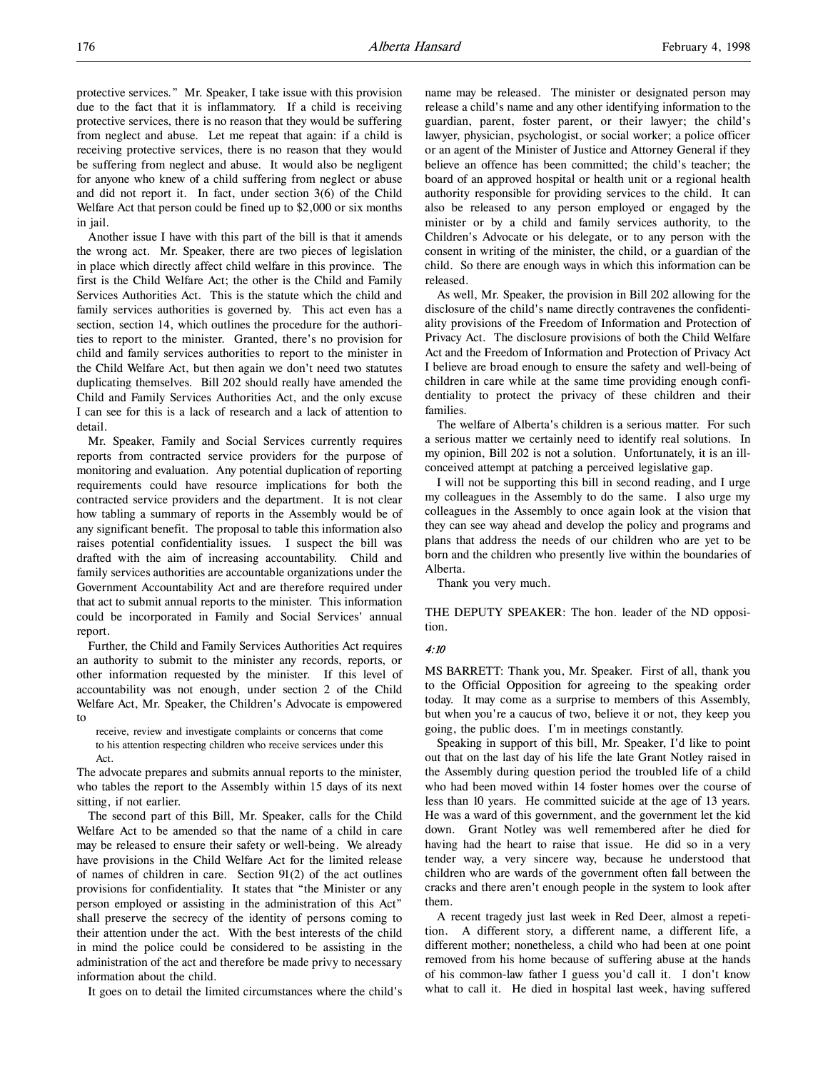protective services." Mr. Speaker, I take issue with this provision due to the fact that it is inflammatory. If a child is receiving protective services, there is no reason that they would be suffering from neglect and abuse. Let me repeat that again: if a child is receiving protective services, there is no reason that they would be suffering from neglect and abuse. It would also be negligent for anyone who knew of a child suffering from neglect or abuse and did not report it. In fact, under section 3(6) of the Child Welfare Act that person could be fined up to \$2,000 or six months in jail.

Another issue I have with this part of the bill is that it amends the wrong act. Mr. Speaker, there are two pieces of legislation in place which directly affect child welfare in this province. The first is the Child Welfare Act; the other is the Child and Family Services Authorities Act. This is the statute which the child and family services authorities is governed by. This act even has a section, section 14, which outlines the procedure for the authorities to report to the minister. Granted, there's no provision for child and family services authorities to report to the minister in the Child Welfare Act, but then again we don't need two statutes duplicating themselves. Bill 202 should really have amended the Child and Family Services Authorities Act, and the only excuse I can see for this is a lack of research and a lack of attention to detail.

Mr. Speaker, Family and Social Services currently requires reports from contracted service providers for the purpose of monitoring and evaluation. Any potential duplication of reporting requirements could have resource implications for both the contracted service providers and the department. It is not clear how tabling a summary of reports in the Assembly would be of any significant benefit. The proposal to table this information also raises potential confidentiality issues. I suspect the bill was drafted with the aim of increasing accountability. Child and family services authorities are accountable organizations under the Government Accountability Act and are therefore required under that act to submit annual reports to the minister. This information could be incorporated in Family and Social Services' annual report.

Further, the Child and Family Services Authorities Act requires an authority to submit to the minister any records, reports, or other information requested by the minister. If this level of accountability was not enough, under section 2 of the Child Welfare Act, Mr. Speaker, the Children's Advocate is empowered to

receive, review and investigate complaints or concerns that come to his attention respecting children who receive services under this Act.

The advocate prepares and submits annual reports to the minister, who tables the report to the Assembly within 15 days of its next sitting, if not earlier.

The second part of this Bill, Mr. Speaker, calls for the Child Welfare Act to be amended so that the name of a child in care may be released to ensure their safety or well-being. We already have provisions in the Child Welfare Act for the limited release of names of children in care. Section 91(2) of the act outlines provisions for confidentiality. It states that "the Minister or any person employed or assisting in the administration of this Act" shall preserve the secrecy of the identity of persons coming to their attention under the act. With the best interests of the child in mind the police could be considered to be assisting in the administration of the act and therefore be made privy to necessary information about the child.

It goes on to detail the limited circumstances where the child's

name may be released. The minister or designated person may release a child's name and any other identifying information to the guardian, parent, foster parent, or their lawyer; the child's lawyer, physician, psychologist, or social worker; a police officer or an agent of the Minister of Justice and Attorney General if they believe an offence has been committed; the child's teacher; the board of an approved hospital or health unit or a regional health authority responsible for providing services to the child. It can also be released to any person employed or engaged by the minister or by a child and family services authority, to the Children's Advocate or his delegate, or to any person with the consent in writing of the minister, the child, or a guardian of the child. So there are enough ways in which this information can be released.

As well, Mr. Speaker, the provision in Bill 202 allowing for the disclosure of the child's name directly contravenes the confidentiality provisions of the Freedom of Information and Protection of Privacy Act. The disclosure provisions of both the Child Welfare Act and the Freedom of Information and Protection of Privacy Act I believe are broad enough to ensure the safety and well-being of children in care while at the same time providing enough confidentiality to protect the privacy of these children and their families.

The welfare of Alberta's children is a serious matter. For such a serious matter we certainly need to identify real solutions. In my opinion, Bill 202 is not a solution. Unfortunately, it is an illconceived attempt at patching a perceived legislative gap.

I will not be supporting this bill in second reading, and I urge my colleagues in the Assembly to do the same. I also urge my colleagues in the Assembly to once again look at the vision that they can see way ahead and develop the policy and programs and plans that address the needs of our children who are yet to be born and the children who presently live within the boundaries of Alberta.

Thank you very much.

THE DEPUTY SPEAKER: The hon. leader of the ND opposition.

## 4:10

MS BARRETT: Thank you, Mr. Speaker. First of all, thank you to the Official Opposition for agreeing to the speaking order today. It may come as a surprise to members of this Assembly, but when you're a caucus of two, believe it or not, they keep you going, the public does. I'm in meetings constantly.

Speaking in support of this bill, Mr. Speaker, I'd like to point out that on the last day of his life the late Grant Notley raised in the Assembly during question period the troubled life of a child who had been moved within 14 foster homes over the course of less than 10 years. He committed suicide at the age of 13 years. He was a ward of this government, and the government let the kid down. Grant Notley was well remembered after he died for having had the heart to raise that issue. He did so in a very tender way, a very sincere way, because he understood that children who are wards of the government often fall between the cracks and there aren't enough people in the system to look after them.

A recent tragedy just last week in Red Deer, almost a repetition. A different story, a different name, a different life, a different mother; nonetheless, a child who had been at one point removed from his home because of suffering abuse at the hands of his common-law father I guess you'd call it. I don't know what to call it. He died in hospital last week, having suffered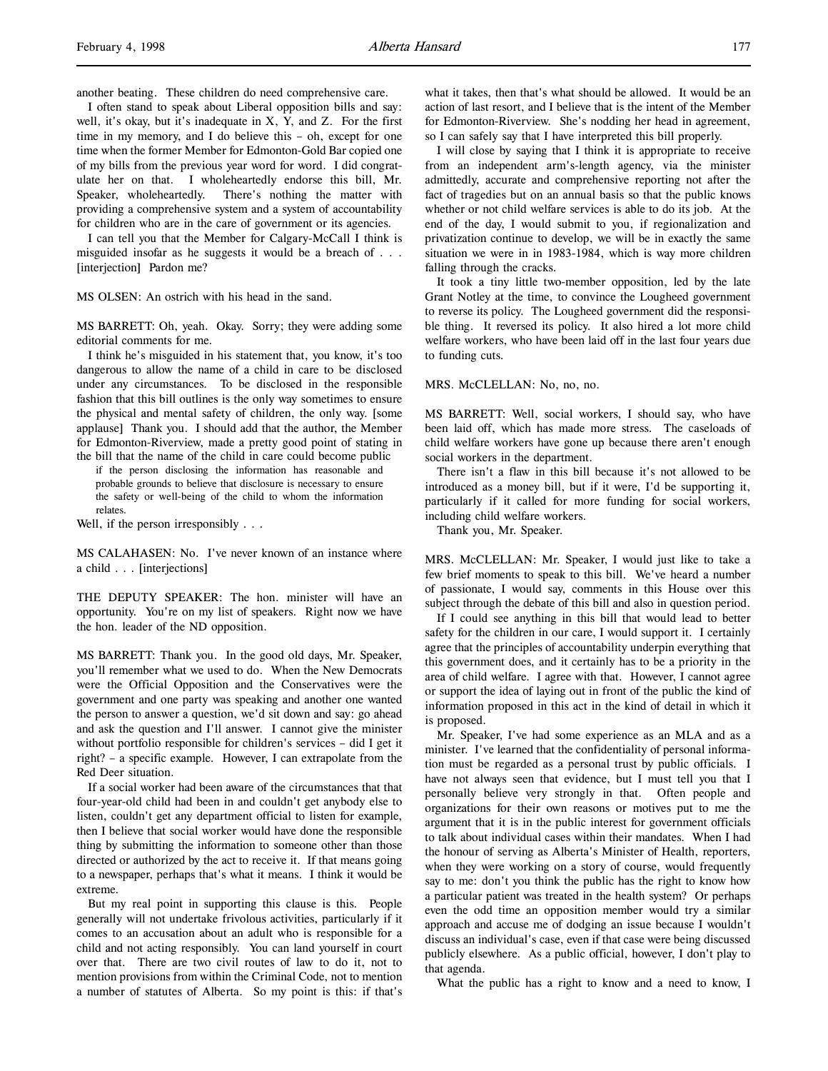another beating. These children do need comprehensive care.

I often stand to speak about Liberal opposition bills and say: well, it's okay, but it's inadequate in X, Y, and Z. For the first time in my memory, and I do believe this – oh, except for one time when the former Member for Edmonton-Gold Bar copied one of my bills from the previous year word for word. I did congratulate her on that. I wholeheartedly endorse this bill, Mr. Speaker, wholeheartedly. There's nothing the matter with providing a comprehensive system and a system of accountability for children who are in the care of government or its agencies.

I can tell you that the Member for Calgary-McCall I think is misguided insofar as he suggests it would be a breach of . . . [interjection] Pardon me?

MS OLSEN: An ostrich with his head in the sand.

MS BARRETT: Oh, yeah. Okay. Sorry; they were adding some editorial comments for me.

I think he's misguided in his statement that, you know, it's too dangerous to allow the name of a child in care to be disclosed under any circumstances. To be disclosed in the responsible fashion that this bill outlines is the only way sometimes to ensure the physical and mental safety of children, the only way. [some applause] Thank you. I should add that the author, the Member for Edmonton-Riverview, made a pretty good point of stating in the bill that the name of the child in care could become public

if the person disclosing the information has reasonable and probable grounds to believe that disclosure is necessary to ensure the safety or well-being of the child to whom the information relates.

Well, if the person irresponsibly . . .

MS CALAHASEN: No. I've never known of an instance where a child . . . [interjections]

THE DEPUTY SPEAKER: The hon. minister will have an opportunity. You're on my list of speakers. Right now we have the hon. leader of the ND opposition.

MS BARRETT: Thank you. In the good old days, Mr. Speaker, you'll remember what we used to do. When the New Democrats were the Official Opposition and the Conservatives were the government and one party was speaking and another one wanted the person to answer a question, we'd sit down and say: go ahead and ask the question and I'll answer. I cannot give the minister without portfolio responsible for children's services – did I get it right? – a specific example. However, I can extrapolate from the Red Deer situation.

If a social worker had been aware of the circumstances that that four-year-old child had been in and couldn't get anybody else to listen, couldn't get any department official to listen for example, then I believe that social worker would have done the responsible thing by submitting the information to someone other than those directed or authorized by the act to receive it. If that means going to a newspaper, perhaps that's what it means. I think it would be extreme.

But my real point in supporting this clause is this. People generally will not undertake frivolous activities, particularly if it comes to an accusation about an adult who is responsible for a child and not acting responsibly. You can land yourself in court over that. There are two civil routes of law to do it, not to mention provisions from within the Criminal Code, not to mention a number of statutes of Alberta. So my point is this: if that's what it takes, then that's what should be allowed. It would be an action of last resort, and I believe that is the intent of the Member for Edmonton-Riverview. She's nodding her head in agreement, so I can safely say that I have interpreted this bill properly.

I will close by saying that I think it is appropriate to receive from an independent arm's-length agency, via the minister admittedly, accurate and comprehensive reporting not after the fact of tragedies but on an annual basis so that the public knows whether or not child welfare services is able to do its job. At the end of the day, I would submit to you, if regionalization and privatization continue to develop, we will be in exactly the same situation we were in in 1983-1984, which is way more children falling through the cracks.

It took a tiny little two-member opposition, led by the late Grant Notley at the time, to convince the Lougheed government to reverse its policy. The Lougheed government did the responsible thing. It reversed its policy. It also hired a lot more child welfare workers, who have been laid off in the last four years due to funding cuts.

MRS. McCLELLAN: No, no, no.

MS BARRETT: Well, social workers, I should say, who have been laid off, which has made more stress. The caseloads of child welfare workers have gone up because there aren't enough social workers in the department.

There isn't a flaw in this bill because it's not allowed to be introduced as a money bill, but if it were, I'd be supporting it, particularly if it called for more funding for social workers, including child welfare workers.

Thank you, Mr. Speaker.

MRS. McCLELLAN: Mr. Speaker, I would just like to take a few brief moments to speak to this bill. We've heard a number of passionate, I would say, comments in this House over this subject through the debate of this bill and also in question period.

If I could see anything in this bill that would lead to better safety for the children in our care, I would support it. I certainly agree that the principles of accountability underpin everything that this government does, and it certainly has to be a priority in the area of child welfare. I agree with that. However, I cannot agree or support the idea of laying out in front of the public the kind of information proposed in this act in the kind of detail in which it is proposed.

Mr. Speaker, I've had some experience as an MLA and as a minister. I've learned that the confidentiality of personal information must be regarded as a personal trust by public officials. I have not always seen that evidence, but I must tell you that I personally believe very strongly in that. Often people and organizations for their own reasons or motives put to me the argument that it is in the public interest for government officials to talk about individual cases within their mandates. When I had the honour of serving as Alberta's Minister of Health, reporters, when they were working on a story of course, would frequently say to me: don't you think the public has the right to know how a particular patient was treated in the health system? Or perhaps even the odd time an opposition member would try a similar approach and accuse me of dodging an issue because I wouldn't discuss an individual's case, even if that case were being discussed publicly elsewhere. As a public official, however, I don't play to that agenda.

What the public has a right to know and a need to know, I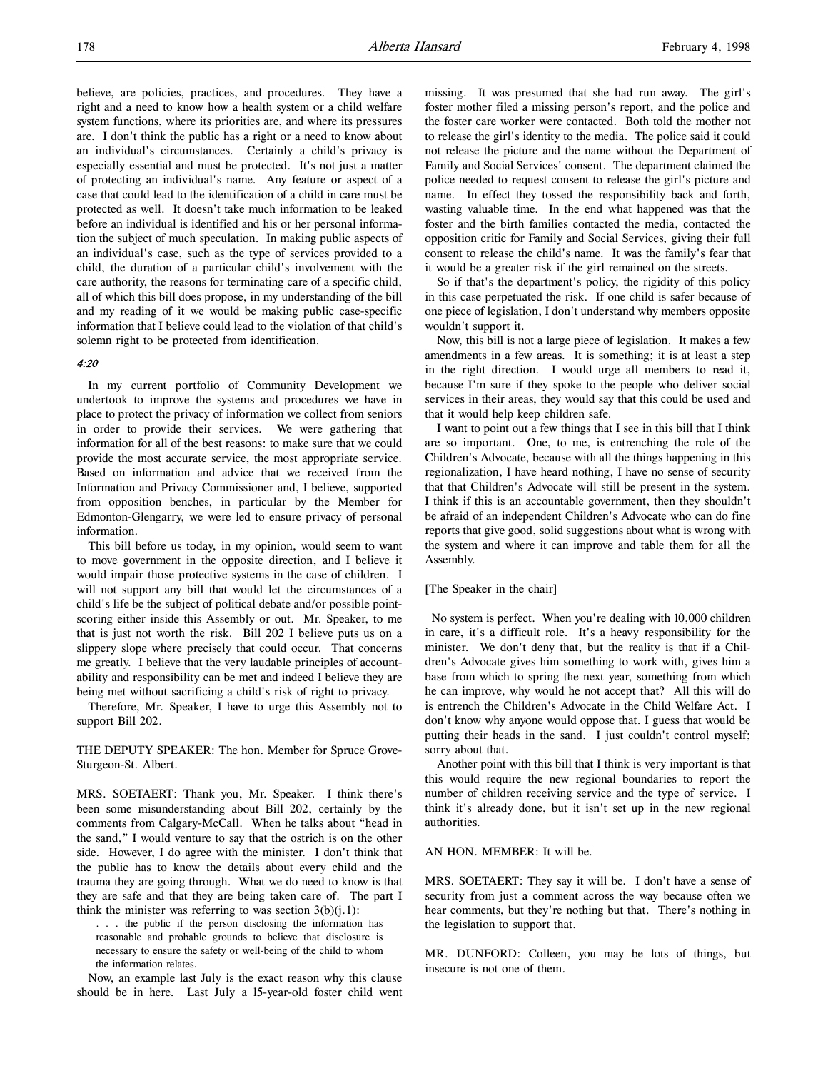believe, are policies, practices, and procedures. They have a right and a need to know how a health system or a child welfare system functions, where its priorities are, and where its pressures are. I don't think the public has a right or a need to know about an individual's circumstances. Certainly a child's privacy is especially essential and must be protected. It's not just a matter of protecting an individual's name. Any feature or aspect of a case that could lead to the identification of a child in care must be protected as well. It doesn't take much information to be leaked before an individual is identified and his or her personal information the subject of much speculation. In making public aspects of an individual's case, such as the type of services provided to a child, the duration of a particular child's involvement with the care authority, the reasons for terminating care of a specific child, all of which this bill does propose, in my understanding of the bill and my reading of it we would be making public case-specific information that I believe could lead to the violation of that child's solemn right to be protected from identification.

#### 4:20

In my current portfolio of Community Development we undertook to improve the systems and procedures we have in place to protect the privacy of information we collect from seniors in order to provide their services. We were gathering that information for all of the best reasons: to make sure that we could provide the most accurate service, the most appropriate service. Based on information and advice that we received from the Information and Privacy Commissioner and, I believe, supported from opposition benches, in particular by the Member for Edmonton-Glengarry, we were led to ensure privacy of personal information.

This bill before us today, in my opinion, would seem to want to move government in the opposite direction, and I believe it would impair those protective systems in the case of children. I will not support any bill that would let the circumstances of a child's life be the subject of political debate and/or possible pointscoring either inside this Assembly or out. Mr. Speaker, to me that is just not worth the risk. Bill 202 I believe puts us on a slippery slope where precisely that could occur. That concerns me greatly. I believe that the very laudable principles of accountability and responsibility can be met and indeed I believe they are being met without sacrificing a child's risk of right to privacy.

Therefore, Mr. Speaker, I have to urge this Assembly not to support Bill 202.

THE DEPUTY SPEAKER: The hon. Member for Spruce Grove-Sturgeon-St. Albert.

MRS. SOETAERT: Thank you, Mr. Speaker. I think there's been some misunderstanding about Bill 202, certainly by the comments from Calgary-McCall. When he talks about "head in the sand," I would venture to say that the ostrich is on the other side. However, I do agree with the minister. I don't think that the public has to know the details about every child and the trauma they are going through. What we do need to know is that they are safe and that they are being taken care of. The part I think the minister was referring to was section  $3(b)(i.1)$ :

. . . the public if the person disclosing the information has reasonable and probable grounds to believe that disclosure is necessary to ensure the safety or well-being of the child to whom the information relates.

Now, an example last July is the exact reason why this clause should be in here. Last July a l5-year-old foster child went missing. It was presumed that she had run away. The girl's foster mother filed a missing person's report, and the police and the foster care worker were contacted. Both told the mother not to release the girl's identity to the media. The police said it could not release the picture and the name without the Department of Family and Social Services' consent. The department claimed the police needed to request consent to release the girl's picture and name. In effect they tossed the responsibility back and forth, wasting valuable time. In the end what happened was that the foster and the birth families contacted the media, contacted the opposition critic for Family and Social Services, giving their full consent to release the child's name. It was the family's fear that it would be a greater risk if the girl remained on the streets.

So if that's the department's policy, the rigidity of this policy in this case perpetuated the risk. If one child is safer because of one piece of legislation, I don't understand why members opposite wouldn't support it.

Now, this bill is not a large piece of legislation. It makes a few amendments in a few areas. It is something; it is at least a step in the right direction. I would urge all members to read it, because I'm sure if they spoke to the people who deliver social services in their areas, they would say that this could be used and that it would help keep children safe.

I want to point out a few things that I see in this bill that I think are so important. One, to me, is entrenching the role of the Children's Advocate, because with all the things happening in this regionalization, I have heard nothing, I have no sense of security that that Children's Advocate will still be present in the system. I think if this is an accountable government, then they shouldn't be afraid of an independent Children's Advocate who can do fine reports that give good, solid suggestions about what is wrong with the system and where it can improve and table them for all the Assembly.

#### [The Speaker in the chair]

 No system is perfect. When you're dealing with 10,000 children in care, it's a difficult role. It's a heavy responsibility for the minister. We don't deny that, but the reality is that if a Children's Advocate gives him something to work with, gives him a base from which to spring the next year, something from which he can improve, why would he not accept that? All this will do is entrench the Children's Advocate in the Child Welfare Act. I don't know why anyone would oppose that. I guess that would be putting their heads in the sand. I just couldn't control myself; sorry about that.

Another point with this bill that I think is very important is that this would require the new regional boundaries to report the number of children receiving service and the type of service. I think it's already done, but it isn't set up in the new regional authorities.

#### AN HON. MEMBER: It will be.

MRS. SOETAERT: They say it will be. I don't have a sense of security from just a comment across the way because often we hear comments, but they're nothing but that. There's nothing in the legislation to support that.

MR. DUNFORD: Colleen, you may be lots of things, but insecure is not one of them.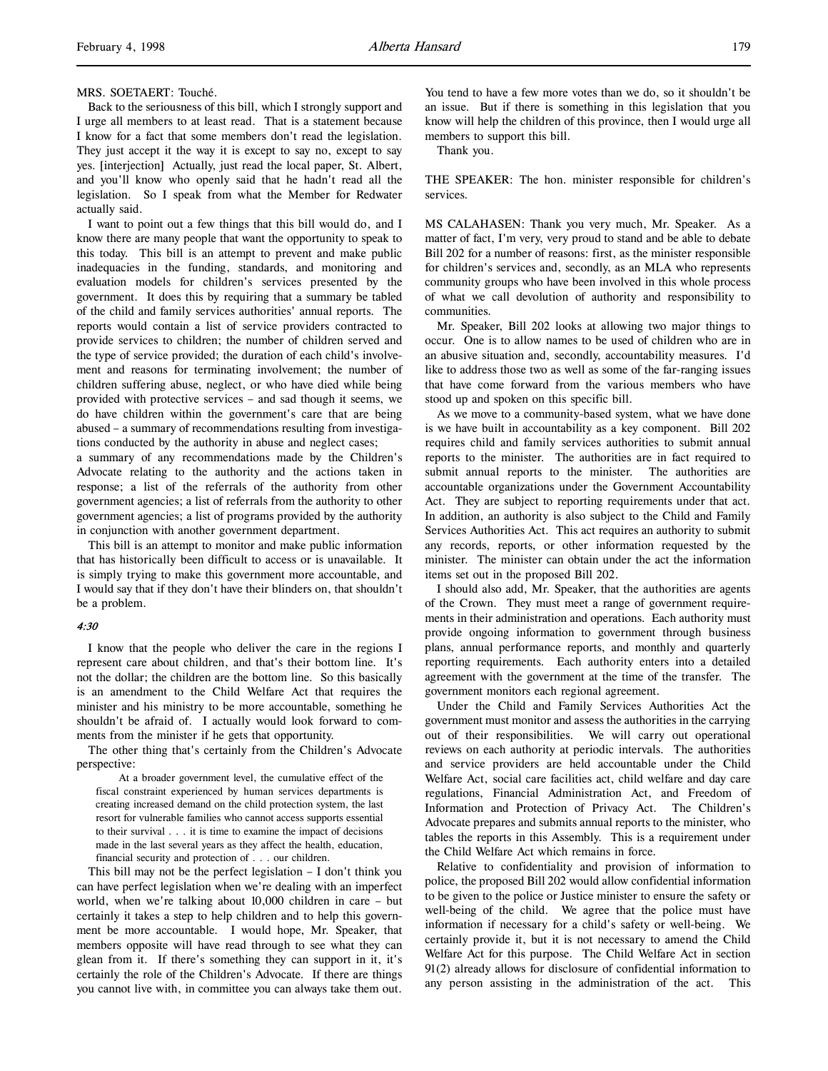#### MRS. SOETAERT: Touché.

Back to the seriousness of this bill, which I strongly support and I urge all members to at least read. That is a statement because I know for a fact that some members don't read the legislation. They just accept it the way it is except to say no, except to say yes. [interjection] Actually, just read the local paper, St. Albert, and you'll know who openly said that he hadn't read all the legislation. So I speak from what the Member for Redwater actually said.

I want to point out a few things that this bill would do, and I know there are many people that want the opportunity to speak to this today. This bill is an attempt to prevent and make public inadequacies in the funding, standards, and monitoring and evaluation models for children's services presented by the government. It does this by requiring that a summary be tabled of the child and family services authorities' annual reports. The reports would contain a list of service providers contracted to provide services to children; the number of children served and the type of service provided; the duration of each child's involvement and reasons for terminating involvement; the number of children suffering abuse, neglect, or who have died while being provided with protective services – and sad though it seems, we do have children within the government's care that are being abused – a summary of recommendations resulting from investigations conducted by the authority in abuse and neglect cases;

a summary of any recommendations made by the Children's Advocate relating to the authority and the actions taken in response; a list of the referrals of the authority from other government agencies; a list of referrals from the authority to other government agencies; a list of programs provided by the authority in conjunction with another government department.

This bill is an attempt to monitor and make public information that has historically been difficult to access or is unavailable. It is simply trying to make this government more accountable, and I would say that if they don't have their blinders on, that shouldn't be a problem.

## 4:30

I know that the people who deliver the care in the regions I represent care about children, and that's their bottom line. It's not the dollar; the children are the bottom line. So this basically is an amendment to the Child Welfare Act that requires the minister and his ministry to be more accountable, something he shouldn't be afraid of. I actually would look forward to comments from the minister if he gets that opportunity.

The other thing that's certainly from the Children's Advocate perspective:

At a broader government level, the cumulative effect of the fiscal constraint experienced by human services departments is creating increased demand on the child protection system, the last resort for vulnerable families who cannot access supports essential to their survival . . . it is time to examine the impact of decisions made in the last several years as they affect the health, education, financial security and protection of . . . our children.

This bill may not be the perfect legislation – I don't think you can have perfect legislation when we're dealing with an imperfect world, when we're talking about 10,000 children in care – but certainly it takes a step to help children and to help this government be more accountable. I would hope, Mr. Speaker, that members opposite will have read through to see what they can glean from it. If there's something they can support in it, it's certainly the role of the Children's Advocate. If there are things you cannot live with, in committee you can always take them out.

You tend to have a few more votes than we do, so it shouldn't be an issue. But if there is something in this legislation that you know will help the children of this province, then I would urge all members to support this bill.

Thank you.

THE SPEAKER: The hon. minister responsible for children's services.

MS CALAHASEN: Thank you very much, Mr. Speaker. As a matter of fact, I'm very, very proud to stand and be able to debate Bill 202 for a number of reasons: first, as the minister responsible for children's services and, secondly, as an MLA who represents community groups who have been involved in this whole process of what we call devolution of authority and responsibility to communities.

Mr. Speaker, Bill 202 looks at allowing two major things to occur. One is to allow names to be used of children who are in an abusive situation and, secondly, accountability measures. I'd like to address those two as well as some of the far-ranging issues that have come forward from the various members who have stood up and spoken on this specific bill.

As we move to a community-based system, what we have done is we have built in accountability as a key component. Bill 202 requires child and family services authorities to submit annual reports to the minister. The authorities are in fact required to submit annual reports to the minister. The authorities are accountable organizations under the Government Accountability Act. They are subject to reporting requirements under that act. In addition, an authority is also subject to the Child and Family Services Authorities Act. This act requires an authority to submit any records, reports, or other information requested by the minister. The minister can obtain under the act the information items set out in the proposed Bill 202.

I should also add, Mr. Speaker, that the authorities are agents of the Crown. They must meet a range of government requirements in their administration and operations. Each authority must provide ongoing information to government through business plans, annual performance reports, and monthly and quarterly reporting requirements. Each authority enters into a detailed agreement with the government at the time of the transfer. The government monitors each regional agreement.

Under the Child and Family Services Authorities Act the government must monitor and assess the authorities in the carrying out of their responsibilities. We will carry out operational reviews on each authority at periodic intervals. The authorities and service providers are held accountable under the Child Welfare Act, social care facilities act, child welfare and day care regulations, Financial Administration Act, and Freedom of Information and Protection of Privacy Act. The Children's Advocate prepares and submits annual reports to the minister, who tables the reports in this Assembly. This is a requirement under the Child Welfare Act which remains in force.

Relative to confidentiality and provision of information to police, the proposed Bill 202 would allow confidential information to be given to the police or Justice minister to ensure the safety or well-being of the child. We agree that the police must have information if necessary for a child's safety or well-being. We certainly provide it, but it is not necessary to amend the Child Welfare Act for this purpose. The Child Welfare Act in section 91(2) already allows for disclosure of confidential information to any person assisting in the administration of the act. This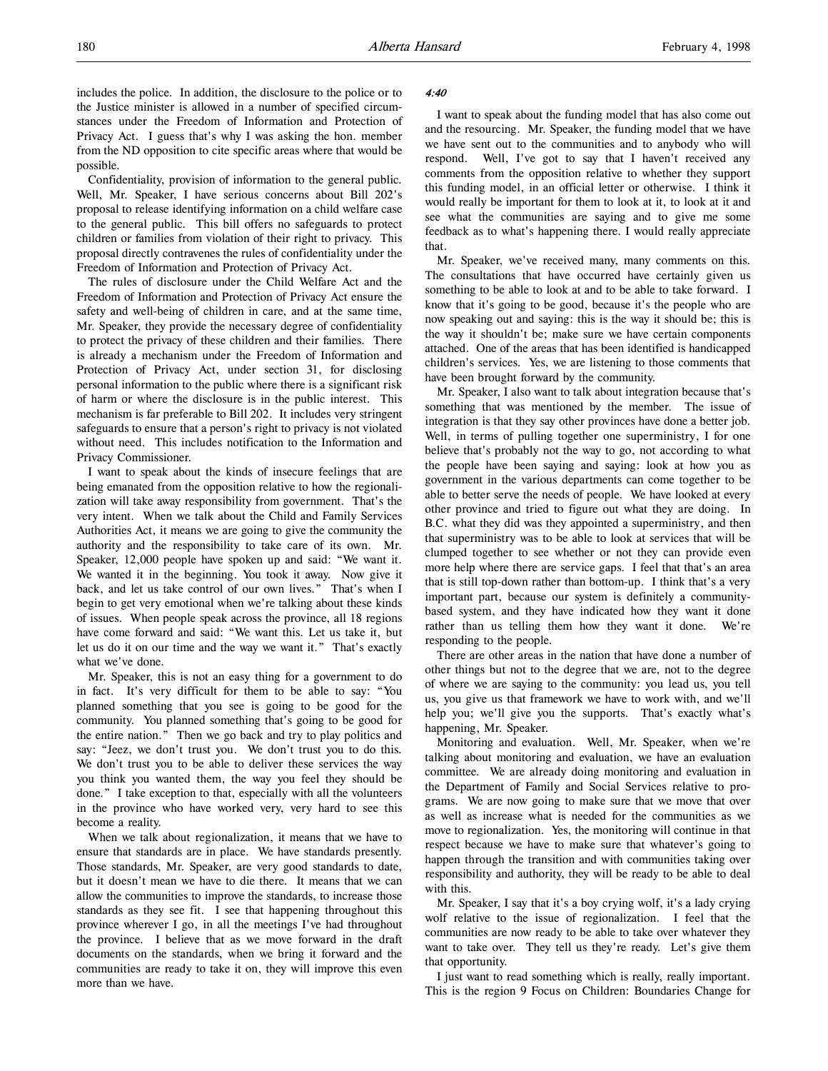includes the police. In addition, the disclosure to the police or to the Justice minister is allowed in a number of specified circumstances under the Freedom of Information and Protection of Privacy Act. I guess that's why I was asking the hon. member from the ND opposition to cite specific areas where that would be possible.

Confidentiality, provision of information to the general public. Well, Mr. Speaker, I have serious concerns about Bill 202's proposal to release identifying information on a child welfare case to the general public. This bill offers no safeguards to protect children or families from violation of their right to privacy. This proposal directly contravenes the rules of confidentiality under the Freedom of Information and Protection of Privacy Act.

The rules of disclosure under the Child Welfare Act and the Freedom of Information and Protection of Privacy Act ensure the safety and well-being of children in care, and at the same time, Mr. Speaker, they provide the necessary degree of confidentiality to protect the privacy of these children and their families. There is already a mechanism under the Freedom of Information and Protection of Privacy Act, under section 31, for disclosing personal information to the public where there is a significant risk of harm or where the disclosure is in the public interest. This mechanism is far preferable to Bill 202. It includes very stringent safeguards to ensure that a person's right to privacy is not violated without need. This includes notification to the Information and Privacy Commissioner.

I want to speak about the kinds of insecure feelings that are being emanated from the opposition relative to how the regionalization will take away responsibility from government. That's the very intent. When we talk about the Child and Family Services Authorities Act, it means we are going to give the community the authority and the responsibility to take care of its own. Mr. Speaker, 12,000 people have spoken up and said: "We want it. We wanted it in the beginning. You took it away. Now give it back, and let us take control of our own lives." That's when I begin to get very emotional when we're talking about these kinds of issues. When people speak across the province, all 18 regions have come forward and said: "We want this. Let us take it, but let us do it on our time and the way we want it." That's exactly what we've done.

Mr. Speaker, this is not an easy thing for a government to do in fact. It's very difficult for them to be able to say: "You planned something that you see is going to be good for the community. You planned something that's going to be good for the entire nation." Then we go back and try to play politics and say: "Jeez, we don't trust you. We don't trust you to do this. We don't trust you to be able to deliver these services the way you think you wanted them, the way you feel they should be done." I take exception to that, especially with all the volunteers in the province who have worked very, very hard to see this become a reality.

When we talk about regionalization, it means that we have to ensure that standards are in place. We have standards presently. Those standards, Mr. Speaker, are very good standards to date, but it doesn't mean we have to die there. It means that we can allow the communities to improve the standards, to increase those standards as they see fit. I see that happening throughout this province wherever I go, in all the meetings I've had throughout the province. I believe that as we move forward in the draft documents on the standards, when we bring it forward and the communities are ready to take it on, they will improve this even more than we have.

#### 4:40

I want to speak about the funding model that has also come out and the resourcing. Mr. Speaker, the funding model that we have we have sent out to the communities and to anybody who will respond. Well, I've got to say that I haven't received any comments from the opposition relative to whether they support this funding model, in an official letter or otherwise. I think it would really be important for them to look at it, to look at it and see what the communities are saying and to give me some feedback as to what's happening there. I would really appreciate that.

Mr. Speaker, we've received many, many comments on this. The consultations that have occurred have certainly given us something to be able to look at and to be able to take forward. I know that it's going to be good, because it's the people who are now speaking out and saying: this is the way it should be; this is the way it shouldn't be; make sure we have certain components attached. One of the areas that has been identified is handicapped children's services. Yes, we are listening to those comments that have been brought forward by the community.

Mr. Speaker, I also want to talk about integration because that's something that was mentioned by the member. The issue of integration is that they say other provinces have done a better job. Well, in terms of pulling together one superministry, I for one believe that's probably not the way to go, not according to what the people have been saying and saying: look at how you as government in the various departments can come together to be able to better serve the needs of people. We have looked at every other province and tried to figure out what they are doing. In B.C. what they did was they appointed a superministry, and then that superministry was to be able to look at services that will be clumped together to see whether or not they can provide even more help where there are service gaps. I feel that that's an area that is still top-down rather than bottom-up. I think that's a very important part, because our system is definitely a communitybased system, and they have indicated how they want it done rather than us telling them how they want it done. We're responding to the people.

There are other areas in the nation that have done a number of other things but not to the degree that we are, not to the degree of where we are saying to the community: you lead us, you tell us, you give us that framework we have to work with, and we'll help you; we'll give you the supports. That's exactly what's happening, Mr. Speaker.

Monitoring and evaluation. Well, Mr. Speaker, when we're talking about monitoring and evaluation, we have an evaluation committee. We are already doing monitoring and evaluation in the Department of Family and Social Services relative to programs. We are now going to make sure that we move that over as well as increase what is needed for the communities as we move to regionalization. Yes, the monitoring will continue in that respect because we have to make sure that whatever's going to happen through the transition and with communities taking over responsibility and authority, they will be ready to be able to deal with this.

Mr. Speaker, I say that it's a boy crying wolf, it's a lady crying wolf relative to the issue of regionalization. I feel that the communities are now ready to be able to take over whatever they want to take over. They tell us they're ready. Let's give them that opportunity.

I just want to read something which is really, really important. This is the region 9 Focus on Children: Boundaries Change for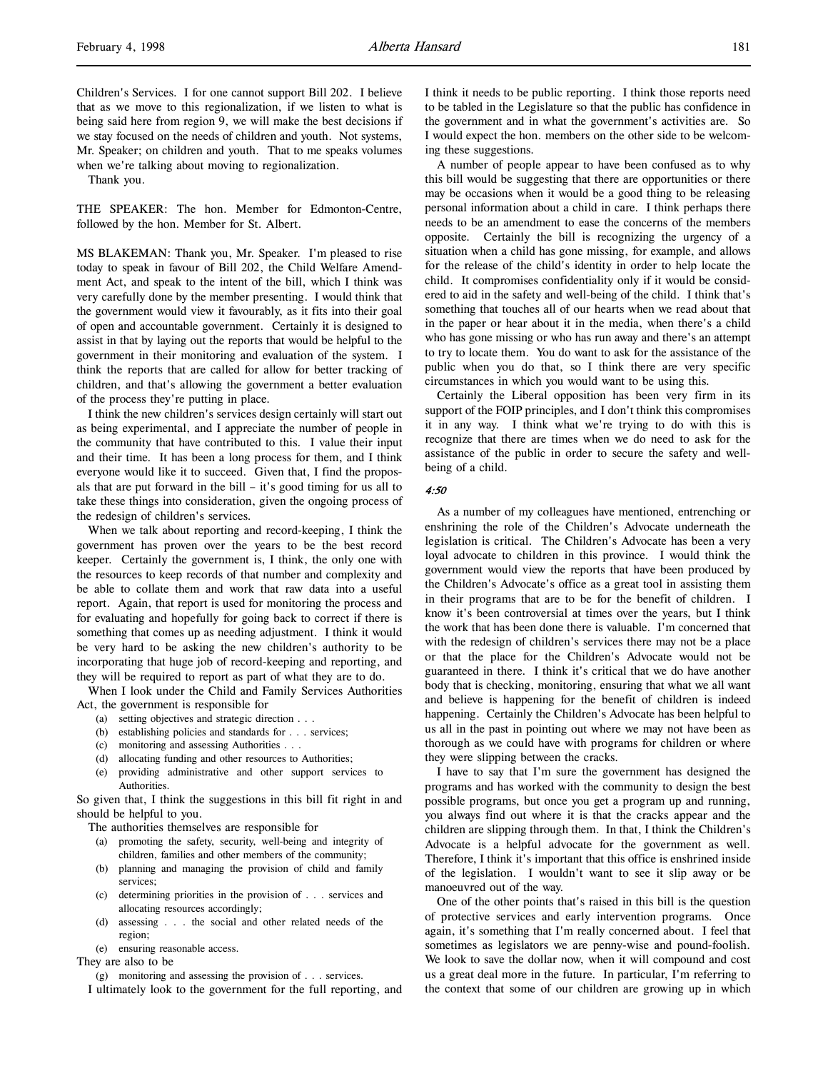Children's Services. I for one cannot support Bill 202. I believe that as we move to this regionalization, if we listen to what is being said here from region 9, we will make the best decisions if we stay focused on the needs of children and youth. Not systems, Mr. Speaker; on children and youth. That to me speaks volumes when we're talking about moving to regionalization.

Thank you.

THE SPEAKER: The hon. Member for Edmonton-Centre, followed by the hon. Member for St. Albert.

MS BLAKEMAN: Thank you, Mr. Speaker. I'm pleased to rise today to speak in favour of Bill 202, the Child Welfare Amendment Act, and speak to the intent of the bill, which I think was very carefully done by the member presenting. I would think that the government would view it favourably, as it fits into their goal of open and accountable government. Certainly it is designed to assist in that by laying out the reports that would be helpful to the government in their monitoring and evaluation of the system. I think the reports that are called for allow for better tracking of children, and that's allowing the government a better evaluation of the process they're putting in place.

I think the new children's services design certainly will start out as being experimental, and I appreciate the number of people in the community that have contributed to this. I value their input and their time. It has been a long process for them, and I think everyone would like it to succeed. Given that, I find the proposals that are put forward in the bill – it's good timing for us all to take these things into consideration, given the ongoing process of the redesign of children's services.

When we talk about reporting and record-keeping, I think the government has proven over the years to be the best record keeper. Certainly the government is, I think, the only one with the resources to keep records of that number and complexity and be able to collate them and work that raw data into a useful report. Again, that report is used for monitoring the process and for evaluating and hopefully for going back to correct if there is something that comes up as needing adjustment. I think it would be very hard to be asking the new children's authority to be incorporating that huge job of record-keeping and reporting, and they will be required to report as part of what they are to do.

When I look under the Child and Family Services Authorities Act, the government is responsible for

- (a) setting objectives and strategic direction . . .
- (b) establishing policies and standards for . . . services;
- (c) monitoring and assessing Authorities . . .
- (d) allocating funding and other resources to Authorities;
- (e) providing administrative and other support services to Authorities.

So given that, I think the suggestions in this bill fit right in and should be helpful to you.

The authorities themselves are responsible for

- (a) promoting the safety, security, well-being and integrity of children, families and other members of the community;
- (b) planning and managing the provision of child and family services;
- (c) determining priorities in the provision of . . . services and allocating resources accordingly;
- (d) assessing . . . the social and other related needs of the region;
- (e) ensuring reasonable access.

They are also to be

(g) monitoring and assessing the provision of . . . services.

I ultimately look to the government for the full reporting, and

I think it needs to be public reporting. I think those reports need to be tabled in the Legislature so that the public has confidence in the government and in what the government's activities are. So I would expect the hon. members on the other side to be welcoming these suggestions.

A number of people appear to have been confused as to why this bill would be suggesting that there are opportunities or there may be occasions when it would be a good thing to be releasing personal information about a child in care. I think perhaps there needs to be an amendment to ease the concerns of the members opposite. Certainly the bill is recognizing the urgency of a situation when a child has gone missing, for example, and allows for the release of the child's identity in order to help locate the child. It compromises confidentiality only if it would be considered to aid in the safety and well-being of the child. I think that's something that touches all of our hearts when we read about that in the paper or hear about it in the media, when there's a child who has gone missing or who has run away and there's an attempt to try to locate them. You do want to ask for the assistance of the public when you do that, so I think there are very specific circumstances in which you would want to be using this.

Certainly the Liberal opposition has been very firm in its support of the FOIP principles, and I don't think this compromises it in any way. I think what we're trying to do with this is recognize that there are times when we do need to ask for the assistance of the public in order to secure the safety and wellbeing of a child.

## 4:50

As a number of my colleagues have mentioned, entrenching or enshrining the role of the Children's Advocate underneath the legislation is critical. The Children's Advocate has been a very loyal advocate to children in this province. I would think the government would view the reports that have been produced by the Children's Advocate's office as a great tool in assisting them in their programs that are to be for the benefit of children. I know it's been controversial at times over the years, but I think the work that has been done there is valuable. I'm concerned that with the redesign of children's services there may not be a place or that the place for the Children's Advocate would not be guaranteed in there. I think it's critical that we do have another body that is checking, monitoring, ensuring that what we all want and believe is happening for the benefit of children is indeed happening. Certainly the Children's Advocate has been helpful to us all in the past in pointing out where we may not have been as thorough as we could have with programs for children or where they were slipping between the cracks.

I have to say that I'm sure the government has designed the programs and has worked with the community to design the best possible programs, but once you get a program up and running, you always find out where it is that the cracks appear and the children are slipping through them. In that, I think the Children's Advocate is a helpful advocate for the government as well. Therefore, I think it's important that this office is enshrined inside of the legislation. I wouldn't want to see it slip away or be manoeuvred out of the way.

One of the other points that's raised in this bill is the question of protective services and early intervention programs. Once again, it's something that I'm really concerned about. I feel that sometimes as legislators we are penny-wise and pound-foolish. We look to save the dollar now, when it will compound and cost us a great deal more in the future. In particular, I'm referring to the context that some of our children are growing up in which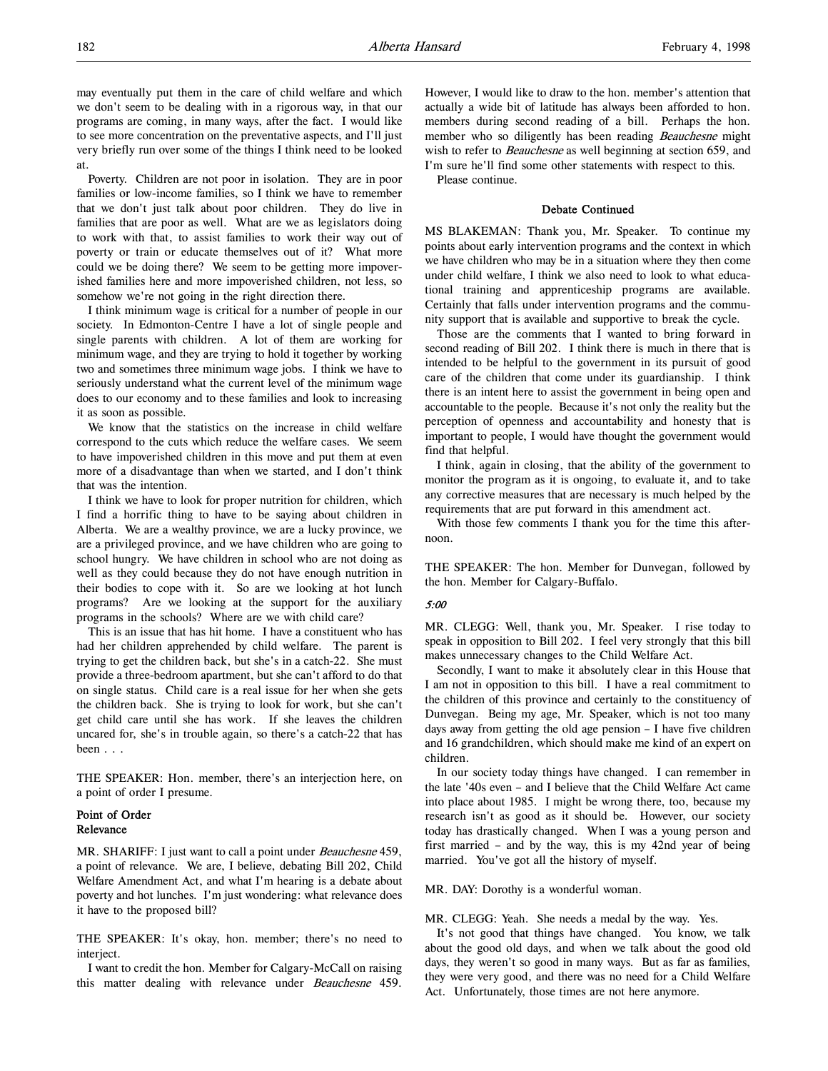may eventually put them in the care of child welfare and which we don't seem to be dealing with in a rigorous way, in that our programs are coming, in many ways, after the fact. I would like to see more concentration on the preventative aspects, and I'll just very briefly run over some of the things I think need to be looked at.

Poverty. Children are not poor in isolation. They are in poor families or low-income families, so I think we have to remember that we don't just talk about poor children. They do live in families that are poor as well. What are we as legislators doing to work with that, to assist families to work their way out of poverty or train or educate themselves out of it? What more could we be doing there? We seem to be getting more impoverished families here and more impoverished children, not less, so somehow we're not going in the right direction there.

I think minimum wage is critical for a number of people in our society. In Edmonton-Centre I have a lot of single people and single parents with children. A lot of them are working for minimum wage, and they are trying to hold it together by working two and sometimes three minimum wage jobs. I think we have to seriously understand what the current level of the minimum wage does to our economy and to these families and look to increasing it as soon as possible.

We know that the statistics on the increase in child welfare correspond to the cuts which reduce the welfare cases. We seem to have impoverished children in this move and put them at even more of a disadvantage than when we started, and I don't think that was the intention.

I think we have to look for proper nutrition for children, which I find a horrific thing to have to be saying about children in Alberta. We are a wealthy province, we are a lucky province, we are a privileged province, and we have children who are going to school hungry. We have children in school who are not doing as well as they could because they do not have enough nutrition in their bodies to cope with it. So are we looking at hot lunch programs? Are we looking at the support for the auxiliary programs in the schools? Where are we with child care?

This is an issue that has hit home. I have a constituent who has had her children apprehended by child welfare. The parent is trying to get the children back, but she's in a catch-22. She must provide a three-bedroom apartment, but she can't afford to do that on single status. Child care is a real issue for her when she gets the children back. She is trying to look for work, but she can't get child care until she has work. If she leaves the children uncared for, she's in trouble again, so there's a catch-22 that has been . . .

THE SPEAKER: Hon. member, there's an interjection here, on a point of order I presume.

# Point of Order Relevance

MR. SHARIFF: I just want to call a point under *Beauchesne* 459, a point of relevance. We are, I believe, debating Bill 202, Child Welfare Amendment Act, and what I'm hearing is a debate about poverty and hot lunches. I'm just wondering: what relevance does it have to the proposed bill?

THE SPEAKER: It's okay, hon. member; there's no need to interiect.

I want to credit the hon. Member for Calgary-McCall on raising this matter dealing with relevance under Beauchesne 459.

However, I would like to draw to the hon. member's attention that actually a wide bit of latitude has always been afforded to hon. members during second reading of a bill. Perhaps the hon. member who so diligently has been reading *Beauchesne* might wish to refer to *Beauchesne* as well beginning at section 659, and I'm sure he'll find some other statements with respect to this. Please continue.

Debate Continued

MS BLAKEMAN: Thank you, Mr. Speaker. To continue my points about early intervention programs and the context in which we have children who may be in a situation where they then come under child welfare, I think we also need to look to what educational training and apprenticeship programs are available. Certainly that falls under intervention programs and the community support that is available and supportive to break the cycle.

Those are the comments that I wanted to bring forward in second reading of Bill 202. I think there is much in there that is intended to be helpful to the government in its pursuit of good care of the children that come under its guardianship. I think there is an intent here to assist the government in being open and accountable to the people. Because it's not only the reality but the perception of openness and accountability and honesty that is important to people, I would have thought the government would find that helpful.

I think, again in closing, that the ability of the government to monitor the program as it is ongoing, to evaluate it, and to take any corrective measures that are necessary is much helped by the requirements that are put forward in this amendment act.

With those few comments I thank you for the time this afternoon.

THE SPEAKER: The hon. Member for Dunvegan, followed by the hon. Member for Calgary-Buffalo.

#### 5:00

MR. CLEGG: Well, thank you, Mr. Speaker. I rise today to speak in opposition to Bill 202. I feel very strongly that this bill makes unnecessary changes to the Child Welfare Act.

Secondly, I want to make it absolutely clear in this House that I am not in opposition to this bill. I have a real commitment to the children of this province and certainly to the constituency of Dunvegan. Being my age, Mr. Speaker, which is not too many days away from getting the old age pension – I have five children and 16 grandchildren, which should make me kind of an expert on children.

In our society today things have changed. I can remember in the late '40s even – and I believe that the Child Welfare Act came into place about 1985. I might be wrong there, too, because my research isn't as good as it should be. However, our society today has drastically changed. When I was a young person and first married – and by the way, this is my 42nd year of being married. You've got all the history of myself.

MR. DAY: Dorothy is a wonderful woman.

MR. CLEGG: Yeah. She needs a medal by the way. Yes.

It's not good that things have changed. You know, we talk about the good old days, and when we talk about the good old days, they weren't so good in many ways. But as far as families, they were very good, and there was no need for a Child Welfare Act. Unfortunately, those times are not here anymore.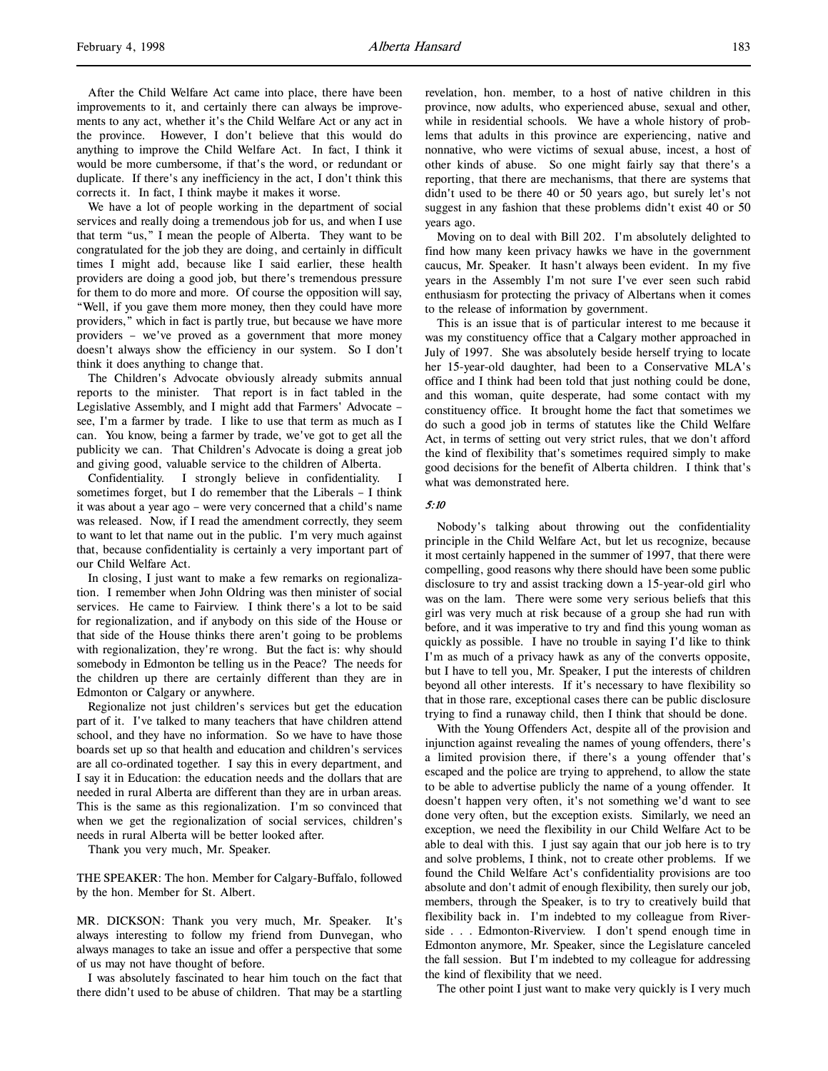After the Child Welfare Act came into place, there have been improvements to it, and certainly there can always be improvements to any act, whether it's the Child Welfare Act or any act in the province. However, I don't believe that this would do anything to improve the Child Welfare Act. In fact, I think it would be more cumbersome, if that's the word, or redundant or duplicate. If there's any inefficiency in the act, I don't think this corrects it. In fact, I think maybe it makes it worse.

We have a lot of people working in the department of social services and really doing a tremendous job for us, and when I use that term "us," I mean the people of Alberta. They want to be congratulated for the job they are doing, and certainly in difficult times I might add, because like I said earlier, these health providers are doing a good job, but there's tremendous pressure for them to do more and more. Of course the opposition will say, "Well, if you gave them more money, then they could have more providers," which in fact is partly true, but because we have more providers – we've proved as a government that more money doesn't always show the efficiency in our system. So I don't think it does anything to change that.

The Children's Advocate obviously already submits annual reports to the minister. That report is in fact tabled in the Legislative Assembly, and I might add that Farmers' Advocate – see, I'm a farmer by trade. I like to use that term as much as I can. You know, being a farmer by trade, we've got to get all the publicity we can. That Children's Advocate is doing a great job and giving good, valuable service to the children of Alberta.

Confidentiality. I strongly believe in confidentiality. I sometimes forget, but I do remember that the Liberals – I think it was about a year ago – were very concerned that a child's name was released. Now, if I read the amendment correctly, they seem to want to let that name out in the public. I'm very much against that, because confidentiality is certainly a very important part of our Child Welfare Act.

In closing, I just want to make a few remarks on regionalization. I remember when John Oldring was then minister of social services. He came to Fairview. I think there's a lot to be said for regionalization, and if anybody on this side of the House or that side of the House thinks there aren't going to be problems with regionalization, they're wrong. But the fact is: why should somebody in Edmonton be telling us in the Peace? The needs for the children up there are certainly different than they are in Edmonton or Calgary or anywhere.

Regionalize not just children's services but get the education part of it. I've talked to many teachers that have children attend school, and they have no information. So we have to have those boards set up so that health and education and children's services are all co-ordinated together. I say this in every department, and I say it in Education: the education needs and the dollars that are needed in rural Alberta are different than they are in urban areas. This is the same as this regionalization. I'm so convinced that when we get the regionalization of social services, children's needs in rural Alberta will be better looked after.

Thank you very much, Mr. Speaker.

THE SPEAKER: The hon. Member for Calgary-Buffalo, followed by the hon. Member for St. Albert.

MR. DICKSON: Thank you very much, Mr. Speaker. It's always interesting to follow my friend from Dunvegan, who always manages to take an issue and offer a perspective that some of us may not have thought of before.

I was absolutely fascinated to hear him touch on the fact that there didn't used to be abuse of children. That may be a startling

revelation, hon. member, to a host of native children in this province, now adults, who experienced abuse, sexual and other, while in residential schools. We have a whole history of problems that adults in this province are experiencing, native and nonnative, who were victims of sexual abuse, incest, a host of other kinds of abuse. So one might fairly say that there's a reporting, that there are mechanisms, that there are systems that didn't used to be there 40 or 50 years ago, but surely let's not suggest in any fashion that these problems didn't exist 40 or 50 years ago.

Moving on to deal with Bill 202. I'm absolutely delighted to find how many keen privacy hawks we have in the government caucus, Mr. Speaker. It hasn't always been evident. In my five years in the Assembly I'm not sure I've ever seen such rabid enthusiasm for protecting the privacy of Albertans when it comes to the release of information by government.

This is an issue that is of particular interest to me because it was my constituency office that a Calgary mother approached in July of 1997. She was absolutely beside herself trying to locate her 15-year-old daughter, had been to a Conservative MLA's office and I think had been told that just nothing could be done, and this woman, quite desperate, had some contact with my constituency office. It brought home the fact that sometimes we do such a good job in terms of statutes like the Child Welfare Act, in terms of setting out very strict rules, that we don't afford the kind of flexibility that's sometimes required simply to make good decisions for the benefit of Alberta children. I think that's what was demonstrated here.

#### 5:10

Nobody's talking about throwing out the confidentiality principle in the Child Welfare Act, but let us recognize, because it most certainly happened in the summer of 1997, that there were compelling, good reasons why there should have been some public disclosure to try and assist tracking down a 15-year-old girl who was on the lam. There were some very serious beliefs that this girl was very much at risk because of a group she had run with before, and it was imperative to try and find this young woman as quickly as possible. I have no trouble in saying I'd like to think I'm as much of a privacy hawk as any of the converts opposite, but I have to tell you, Mr. Speaker, I put the interests of children beyond all other interests. If it's necessary to have flexibility so that in those rare, exceptional cases there can be public disclosure trying to find a runaway child, then I think that should be done.

With the Young Offenders Act, despite all of the provision and injunction against revealing the names of young offenders, there's a limited provision there, if there's a young offender that's escaped and the police are trying to apprehend, to allow the state to be able to advertise publicly the name of a young offender. It doesn't happen very often, it's not something we'd want to see done very often, but the exception exists. Similarly, we need an exception, we need the flexibility in our Child Welfare Act to be able to deal with this. I just say again that our job here is to try and solve problems, I think, not to create other problems. If we found the Child Welfare Act's confidentiality provisions are too absolute and don't admit of enough flexibility, then surely our job, members, through the Speaker, is to try to creatively build that flexibility back in. I'm indebted to my colleague from Riverside . . . Edmonton-Riverview. I don't spend enough time in Edmonton anymore, Mr. Speaker, since the Legislature canceled the fall session. But I'm indebted to my colleague for addressing the kind of flexibility that we need.

The other point I just want to make very quickly is I very much